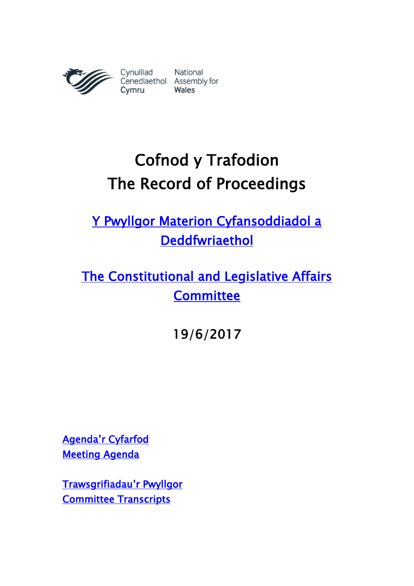

# Cofnod y Trafodion The Record of Proceedings

[Y Pwyllgor Materion Cyfansoddiadol a](http://www.senedd.cynulliad.cymru/mgCommitteeDetails.aspx?ID=434)  [Deddfwriaethol](http://www.senedd.cynulliad.cymru/mgCommitteeDetails.aspx?ID=434) 

[The Constitutional and Legislative Affairs](http://www.senedd.assembly.wales/mgCommitteeDetails.aspx?ID=434)  **Committee** 

19/6/2017

[Agenda'r Cyfarfod](http://senedd.cynulliad.cymru/ieListDocuments.aspx?CId=434&MId=4100&Ver=4) [Meeting Agenda](http://www.senedd.assembly.wales/ieListDocuments.aspx?CId=434&MId=4100&Ver=4) 

[Trawsgrifiadau](http://www.senedd.cynulliad.cymru/mgIssueHistoryHome.aspx?IId=15034)'r Pwyllgor [Committee Transcripts](http://www.senedd.assembly.wales/mgIssueHistoryHome.aspx?IId=15034)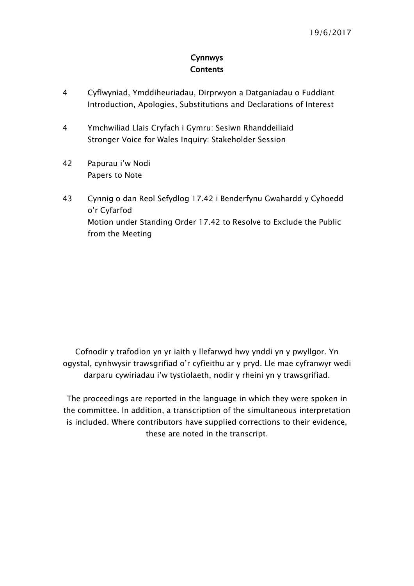### **Cynnwys Contents**

- [4](#page-3-0) [Cyflwyniad, Ymddiheuriadau, Dirprwyon a Datganiadau o Fuddiant](#page-3-0)  [Introduction, Apologies, Substitutions and Declarations of Interest](#page-3-0)
- 4 [Ymchwiliad Llais Cryfach i Gymru: Sesiwn Rhanddeiliaid](#page-3-1) [Stronger Voice for Wales Inquiry: Stakeholder Session](#page-3-1)
- 42 P[apurau i'w Nodi](#page-41-0) [Papers to Note](#page-41-0)
- 43 [Cynnig o dan Reol Sefydlog 17.42 i Benderfynu Gwahardd y Cyhoedd](#page-42-0)  [o'r Cyfarfod](#page-42-0) [Motion under Standing Order 17.42 to Resolve to Exclude the Public](#page-42-0)  [from the Meeting](#page-42-0)

Cofnodir y trafodion yn yr iaith y llefarwyd hwy ynddi yn y pwyllgor. Yn ogystal, cynhwysir trawsgrifiad o'r cyfieithu ar y pryd. Lle mae cyfranwyr wedi darparu cywiriadau i'w tystiolaeth, nodir y rheini yn y trawsgrifiad.

The proceedings are reported in the language in which they were spoken in the committee. In addition, a transcription of the simultaneous interpretation is included. Where contributors have supplied corrections to their evidence, these are noted in the transcript.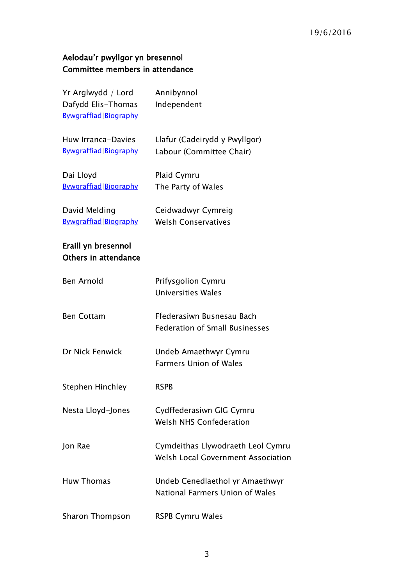# Aelodau'r pwyllgor yn bresennol Committee members in attendance

| Yr Arglwydd / Lord<br>Dafydd Elis-Thomas<br>Bywgraffiad Biography | Annibynnol<br>Independent                                                      |
|-------------------------------------------------------------------|--------------------------------------------------------------------------------|
| Huw Irranca-Davies<br>Bywgraffiad Biography                       | Llafur (Cadeirydd y Pwyllgor)<br>Labour (Committee Chair)                      |
| Dai Lloyd<br>Bywgraffiad Biography                                | Plaid Cymru<br>The Party of Wales                                              |
| David Melding<br>Bywgraffiad Biography                            | Ceidwadwyr Cymreig<br><b>Welsh Conservatives</b>                               |
| Eraill yn bresennol<br>Others in attendance                       |                                                                                |
| <b>Ben Arnold</b>                                                 | Prifysgolion Cymru<br><b>Universities Wales</b>                                |
| <b>Ben Cottam</b>                                                 | Ffederasiwn Busnesau Bach<br><b>Federation of Small Businesses</b>             |
| Dr Nick Fenwick                                                   | Undeb Amaethwyr Cymru<br><b>Farmers Union of Wales</b>                         |
| <b>Stephen Hinchley</b>                                           | <b>RSPB</b>                                                                    |
| Nesta Lloyd-Jones                                                 | Cydffederasiwn GIG Cymru<br><b>Welsh NHS Confederation</b>                     |
| Jon Rae                                                           | Cymdeithas Llywodraeth Leol Cymru<br><b>Welsh Local Government Association</b> |
| <b>Huw Thomas</b>                                                 | Undeb Cenedlaethol yr Amaethwyr<br>National Farmers Union of Wales             |
| Sharon Thompson                                                   | <b>RSPB Cymru Wales</b>                                                        |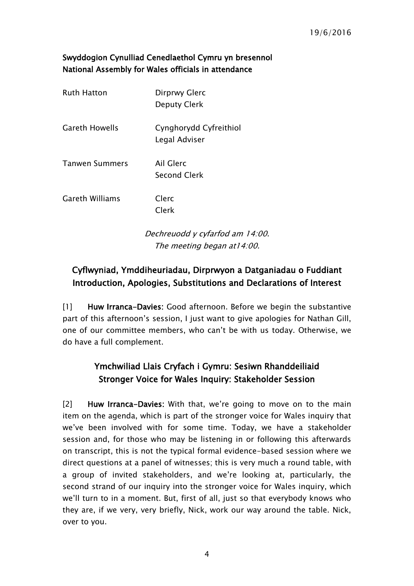## Swyddogion Cynulliad Cenedlaethol Cymru yn bresennol National Assembly for Wales officials in attendance

| <b>Ruth Hatton</b>     | Dirprwy Glerc<br><b>Deputy Clerk</b>    |
|------------------------|-----------------------------------------|
| <b>Gareth Howells</b>  | Cynghorydd Cyfreithiol<br>Legal Adviser |
| <b>Tanwen Summers</b>  | Ail Glerc<br><b>Second Clerk</b>        |
| <b>Gareth Williams</b> | Clerc<br>Clerk                          |
|                        |                                         |

Dechreuodd y cyfarfod am 14:00. The meeting began at14:00.

# <span id="page-3-0"></span>Cyflwyniad, Ymddiheuriadau, Dirprwyon a Datganiadau o Fuddiant Introduction, Apologies, Substitutions and Declarations of Interest

[1] Huw Irranca-Davies: Good afternoon. Before we begin the substantive part of this afternoon's session, I just want to give apologies for Nathan Gill, one of our committee members, who can't be with us today. Otherwise, we do have a full complement.

# <span id="page-3-1"></span>Ymchwiliad Llais Cryfach i Gymru: Sesiwn Rhanddeiliaid Stronger Voice for Wales Inquiry: Stakeholder Session

[2] Huw Irranca-Davies: With that, we're going to move on to the main item on the agenda, which is part of the stronger voice for Wales inquiry that we've been involved with for some time. Today, we have a stakeholder session and, for those who may be listening in or following this afterwards on transcript, this is not the typical formal evidence-based session where we direct questions at a panel of witnesses; this is very much a round table, with a group of invited stakeholders, and we're looking at, particularly, the second strand of our inquiry into the stronger voice for Wales inquiry, which we'll turn to in a moment. But, first of all, just so that everybody knows who they are, if we very, very briefly, Nick, work our way around the table. Nick, over to you.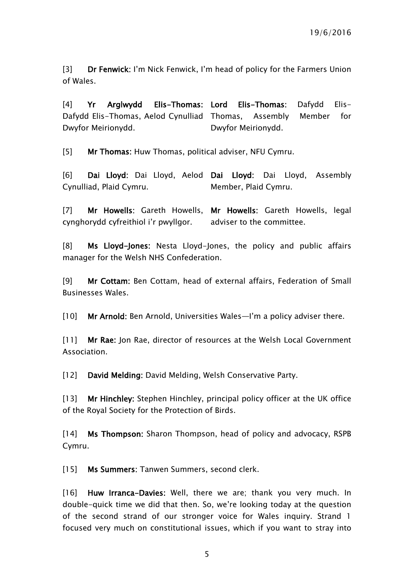[3] Dr Fenwick: I'm Nick Fenwick, I'm head of policy for the Farmers Union of Wales.

[4] Yr Arglwydd Elis-Thomas: Lord Elis-Thomas: Dafydd Elis-Dafydd Elis-Thomas, Aelod Cynulliad Thomas, Assembly Member for Dwyfor Meirionydd. Dwyfor Meirionydd.

[5] Mr Thomas: Huw Thomas, political adviser, NFU Cymru.

[6] Dai Lloyd: Dai Lloyd, Aelod Dai Lloyd: Dai Lloyd, Assembly Cynulliad, Plaid Cymru. Member, Plaid Cymru.

[7] Mr Howells: Gareth Howells, Mr Howells: Gareth Howells, legal cynghorydd cyfreithiol i'r pwyllgor. adviser to the committee.

[8] Ms Lloyd-Jones: Nesta Lloyd-Jones, the policy and public affairs manager for the Welsh NHS Confederation.

[9] Mr Cottam: Ben Cottam, head of external affairs, Federation of Small Businesses Wales.

[10] Mr Arnold: Ben Arnold, Universities Wales—I'm a policy adviser there.

[11] Mr Rae: Jon Rae, director of resources at the Welsh Local Government Association.

[12] David Melding: David Melding, Welsh Conservative Party.

[13] Mr Hinchley: Stephen Hinchley, principal policy officer at the UK office of the Royal Society for the Protection of Birds.

[14] Ms Thompson: Sharon Thompson, head of policy and advocacy, RSPB Cymru.

[15] Ms Summers: Tanwen Summers, second clerk.

[16] Huw Irranca-Davies: Well, there we are; thank you very much. In double-quick time we did that then. So, we're looking today at the question of the second strand of our stronger voice for Wales inquiry. Strand 1 focused very much on constitutional issues, which if you want to stray into

5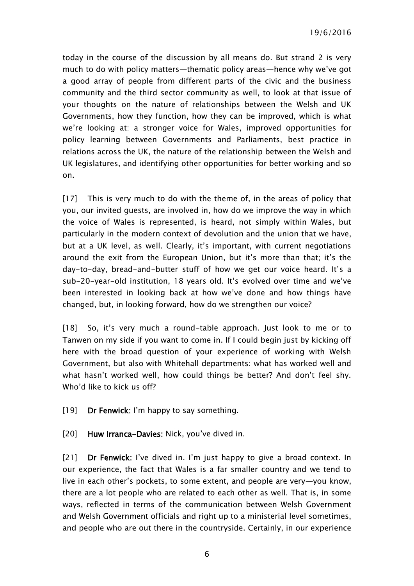19/6/2016

today in the course of the discussion by all means do. But strand 2 is very much to do with policy matters—thematic policy areas—hence why we've got a good array of people from different parts of the civic and the business community and the third sector community as well, to look at that issue of your thoughts on the nature of relationships between the Welsh and UK Governments, how they function, how they can be improved, which is what we're looking at: a stronger voice for Wales, improved opportunities for policy learning between Governments and Parliaments, best practice in relations across the UK, the nature of the relationship between the Welsh and UK legislatures, and identifying other opportunities for better working and so on.

[17] This is very much to do with the theme of, in the areas of policy that you, our invited guests, are involved in, how do we improve the way in which the voice of Wales is represented, is heard, not simply within Wales, but particularly in the modern context of devolution and the union that we have, but at a UK level, as well. Clearly, it's important, with current negotiations around the exit from the European Union, but it's more than that; it's the day-to-day, bread-and-butter stuff of how we get our voice heard. It's a sub-20-year-old institution, 18 years old. It's evolved over time and we've been interested in looking back at how we've done and how things have changed, but, in looking forward, how do we strengthen our voice?

[18] So, it's very much a round-table approach. Just look to me or to Tanwen on my side if you want to come in. If I could begin just by kicking off here with the broad question of your experience of working with Welsh Government, but also with Whitehall departments: what has worked well and what hasn't worked well, how could things be better? And don't feel shy. Who'd like to kick us off?

[19] Dr Fenwick: I'm happy to say something.

[20] Huw Irranca-Davies: Nick, you've dived in.

[21] Dr Fenwick: I've dived in. I'm just happy to give a broad context. In our experience, the fact that Wales is a far smaller country and we tend to live in each other's pockets, to some extent, and people are very—you know, there are a lot people who are related to each other as well. That is, in some ways, reflected in terms of the communication between Welsh Government and Welsh Government officials and right up to a ministerial level sometimes, and people who are out there in the countryside. Certainly, in our experience

6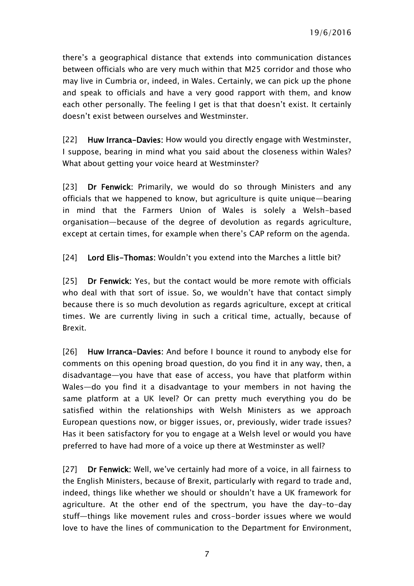there's a geographical distance that extends into communication distances between officials who are very much within that M25 corridor and those who may live in Cumbria or, indeed, in Wales. Certainly, we can pick up the phone and speak to officials and have a very good rapport with them, and know each other personally. The feeling I get is that that doesn't exist. It certainly doesn't exist between ourselves and Westminster.

[22] Huw Irranca-Davies: How would you directly engage with Westminster, I suppose, bearing in mind what you said about the closeness within Wales? What about getting your voice heard at Westminster?

[23] Dr Fenwick: Primarily, we would do so through Ministers and any officials that we happened to know, but agriculture is quite unique—bearing in mind that the Farmers Union of Wales is solely a Welsh-based organisation—because of the degree of devolution as regards agriculture, except at certain times, for example when there's CAP reform on the agenda.

[24] Lord Elis-Thomas: Wouldn't you extend into the Marches a little bit?

[25] Dr Fenwick: Yes, but the contact would be more remote with officials who deal with that sort of issue. So, we wouldn't have that contact simply because there is so much devolution as regards agriculture, except at critical times. We are currently living in such a critical time, actually, because of Brexit.

[26] Huw Irranca-Davies: And before I bounce it round to anybody else for comments on this opening broad question, do you find it in any way, then, a disadvantage—you have that ease of access, you have that platform within Wales—do you find it a disadvantage to your members in not having the same platform at a UK level? Or can pretty much everything you do be satisfied within the relationships with Welsh Ministers as we approach European questions now, or bigger issues, or, previously, wider trade issues? Has it been satisfactory for you to engage at a Welsh level or would you have preferred to have had more of a voice up there at Westminster as well?

[27] Dr Fenwick: Well, we've certainly had more of a voice, in all fairness to the English Ministers, because of Brexit, particularly with regard to trade and, indeed, things like whether we should or shouldn't have a UK framework for agriculture. At the other end of the spectrum, you have the day-to-day stuff—things like movement rules and cross-border issues where we would love to have the lines of communication to the Department for Environment,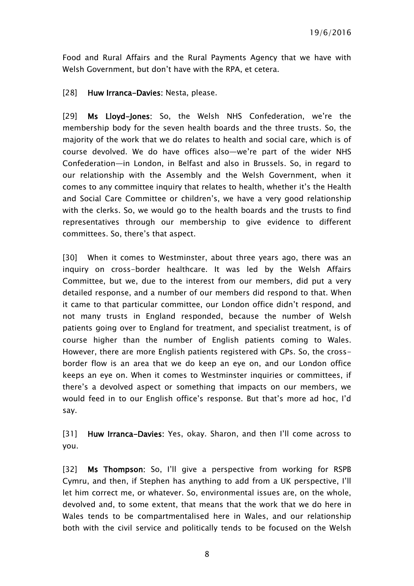Food and Rural Affairs and the Rural Payments Agency that we have with Welsh Government, but don't have with the RPA, et cetera.

[28] Huw Irranca-Davies: Nesta, please.

[29] Ms Lloyd-Jones: So, the Welsh NHS Confederation, we're the membership body for the seven health boards and the three trusts. So, the majority of the work that we do relates to health and social care, which is of course devolved. We do have offices also—we're part of the wider NHS Confederation—in London, in Belfast and also in Brussels. So, in regard to our relationship with the Assembly and the Welsh Government, when it comes to any committee inquiry that relates to health, whether it's the Health and Social Care Committee or children's, we have a very good relationship with the clerks. So, we would go to the health boards and the trusts to find representatives through our membership to give evidence to different committees. So, there's that aspect.

[30] When it comes to Westminster, about three years ago, there was an inquiry on cross-border healthcare. It was led by the Welsh Affairs Committee, but we, due to the interest from our members, did put a very detailed response, and a number of our members did respond to that. When it came to that particular committee, our London office didn't respond, and not many trusts in England responded, because the number of Welsh patients going over to England for treatment, and specialist treatment, is of course higher than the number of English patients coming to Wales. However, there are more English patients registered with GPs. So, the crossborder flow is an area that we do keep an eye on, and our London office keeps an eye on. When it comes to Westminster inquiries or committees, if there's a devolved aspect or something that impacts on our members, we would feed in to our English office's response. But that's more ad hoc, I'd say.

[31] Huw Irranca-Davies: Yes, okay. Sharon, and then I'll come across to you.

[32] Ms Thompson: So, I'll give a perspective from working for RSPB Cymru, and then, if Stephen has anything to add from a UK perspective, I'll let him correct me, or whatever. So, environmental issues are, on the whole, devolved and, to some extent, that means that the work that we do here in Wales tends to be compartmentalised here in Wales, and our relationship both with the civil service and politically tends to be focused on the Welsh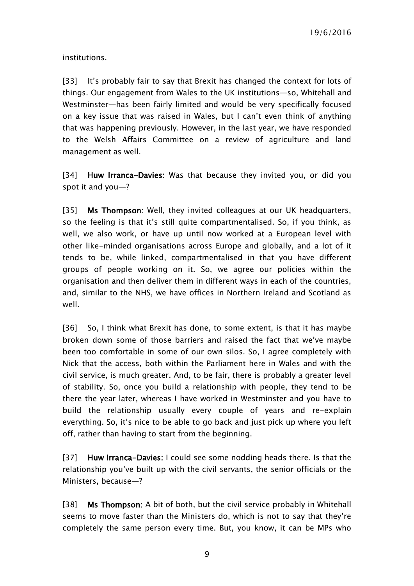institutions.

[33] It's probably fair to say that Brexit has changed the context for lots of things. Our engagement from Wales to the UK institutions—so, Whitehall and Westminster—has been fairly limited and would be very specifically focused on a key issue that was raised in Wales, but I can't even think of anything that was happening previously. However, in the last year, we have responded to the Welsh Affairs Committee on a review of agriculture and land management as well.

[34] Huw Irranca-Davies: Was that because they invited you, or did you spot it and you—?

[35] Ms Thompson: Well, they invited colleagues at our UK headquarters, so the feeling is that it's still quite compartmentalised. So, if you think, as well, we also work, or have up until now worked at a European level with other like-minded organisations across Europe and globally, and a lot of it tends to be, while linked, compartmentalised in that you have different groups of people working on it. So, we agree our policies within the organisation and then deliver them in different ways in each of the countries, and, similar to the NHS, we have offices in Northern Ireland and Scotland as well.

[36] So, I think what Brexit has done, to some extent, is that it has maybe broken down some of those barriers and raised the fact that we've maybe been too comfortable in some of our own silos. So, I agree completely with Nick that the access, both within the Parliament here in Wales and with the civil service, is much greater. And, to be fair, there is probably a greater level of stability. So, once you build a relationship with people, they tend to be there the year later, whereas I have worked in Westminster and you have to build the relationship usually every couple of years and re-explain everything. So, it's nice to be able to go back and just pick up where you left off, rather than having to start from the beginning.

[37] Huw Irranca-Davies: I could see some nodding heads there. Is that the relationship you've built up with the civil servants, the senior officials or the Ministers, because—?

[38] Ms Thompson: A bit of both, but the civil service probably in Whitehall seems to move faster than the Ministers do, which is not to say that they're completely the same person every time. But, you know, it can be MPs who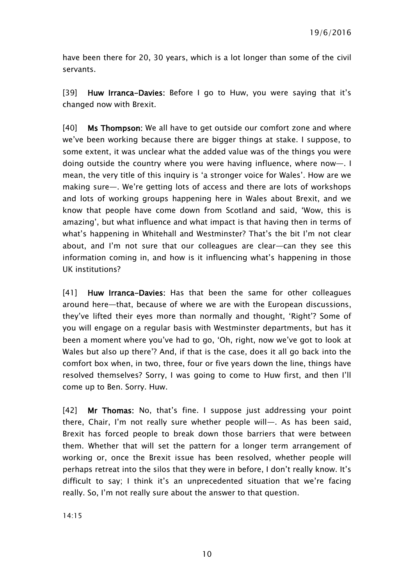have been there for 20, 30 years, which is a lot longer than some of the civil servants.

[39] Huw Irranca-Davies: Before I go to Huw, you were saying that it's changed now with Brexit.

[40] **Ms Thompson:** We all have to get outside our comfort zone and where we've been working because there are bigger things at stake. I suppose, to some extent, it was unclear what the added value was of the things you were doing outside the country where you were having influence, where now—. I mean, the very title of this inquiry is 'a stronger voice for Wales'. How are we making sure—. We're getting lots of access and there are lots of workshops and lots of working groups happening here in Wales about Brexit, and we know that people have come down from Scotland and said, 'Wow, this is amazing', but what influence and what impact is that having then in terms of what's happening in Whitehall and Westminster? That's the bit I'm not clear about, and I'm not sure that our colleagues are clear—can they see this information coming in, and how is it influencing what's happening in those UK institutions?

[41] Huw Irranca-Davies: Has that been the same for other colleagues around here—that, because of where we are with the European discussions, they've lifted their eyes more than normally and thought, 'Right'? Some of you will engage on a regular basis with Westminster departments, but has it been a moment where you've had to go, 'Oh, right, now we've got to look at Wales but also up there'? And, if that is the case, does it all go back into the comfort box when, in two, three, four or five years down the line, things have resolved themselves? Sorry, I was going to come to Huw first, and then I'll come up to Ben. Sorry. Huw.

[42] Mr Thomas: No, that's fine. I suppose just addressing your point there, Chair, I'm not really sure whether people will—. As has been said, Brexit has forced people to break down those barriers that were between them. Whether that will set the pattern for a longer term arrangement of working or, once the Brexit issue has been resolved, whether people will perhaps retreat into the silos that they were in before, I don't really know. It's difficult to say; I think it's an unprecedented situation that we're facing really. So, I'm not really sure about the answer to that question.

14:15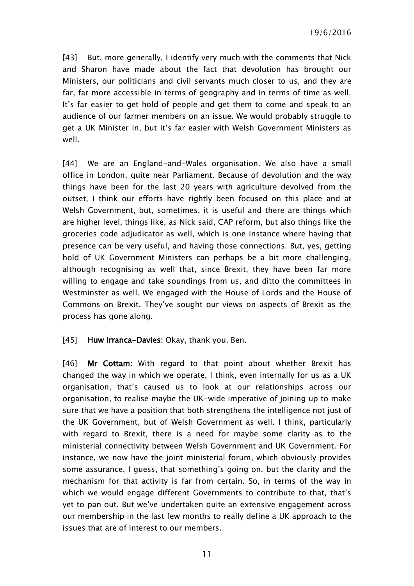[43] But, more generally, I identify very much with the comments that Nick and Sharon have made about the fact that devolution has brought our Ministers, our politicians and civil servants much closer to us, and they are far, far more accessible in terms of geography and in terms of time as well. It's far easier to get hold of people and get them to come and speak to an audience of our farmer members on an issue. We would probably struggle to get a UK Minister in, but it's far easier with Welsh Government Ministers as well.

[44] We are an England-and-Wales organisation. We also have a small office in London, quite near Parliament. Because of devolution and the way things have been for the last 20 years with agriculture devolved from the outset, I think our efforts have rightly been focused on this place and at Welsh Government, but, sometimes, it is useful and there are things which are higher level, things like, as Nick said, CAP reform, but also things like the groceries code adjudicator as well, which is one instance where having that presence can be very useful, and having those connections. But, yes, getting hold of UK Government Ministers can perhaps be a bit more challenging, although recognising as well that, since Brexit, they have been far more willing to engage and take soundings from us, and ditto the committees in Westminster as well. We engaged with the House of Lords and the House of Commons on Brexit. They've sought our views on aspects of Brexit as the process has gone along.

#### [45] Huw Irranca-Davies: Okay, thank you. Ben.

[46] Mr Cottam: With regard to that point about whether Brexit has changed the way in which we operate, I think, even internally for us as a UK organisation, that's caused us to look at our relationships across our organisation, to realise maybe the UK-wide imperative of joining up to make sure that we have a position that both strengthens the intelligence not just of the UK Government, but of Welsh Government as well. I think, particularly with regard to Brexit, there is a need for maybe some clarity as to the ministerial connectivity between Welsh Government and UK Government. For instance, we now have the joint ministerial forum, which obviously provides some assurance, I guess, that something's going on, but the clarity and the mechanism for that activity is far from certain. So, in terms of the way in which we would engage different Governments to contribute to that, that's yet to pan out. But we've undertaken quite an extensive engagement across our membership in the last few months to really define a UK approach to the issues that are of interest to our members.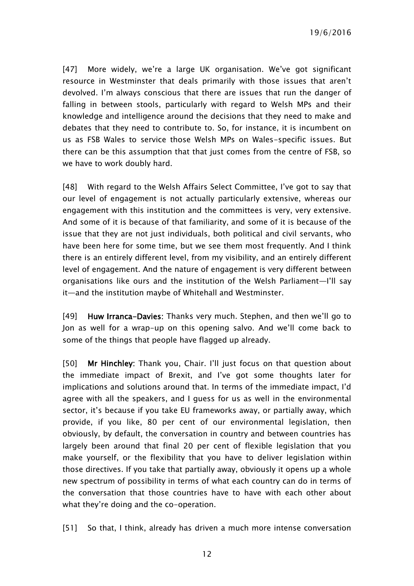19/6/2016

[47] More widely, we're a large UK organisation. We've got significant resource in Westminster that deals primarily with those issues that aren't devolved. I'm always conscious that there are issues that run the danger of falling in between stools, particularly with regard to Welsh MPs and their knowledge and intelligence around the decisions that they need to make and debates that they need to contribute to. So, for instance, it is incumbent on us as FSB Wales to service those Welsh MPs on Wales-specific issues. But there can be this assumption that that just comes from the centre of FSB, so we have to work doubly hard.

[48] With regard to the Welsh Affairs Select Committee, I've got to say that our level of engagement is not actually particularly extensive, whereas our engagement with this institution and the committees is very, very extensive. And some of it is because of that familiarity, and some of it is because of the issue that they are not just individuals, both political and civil servants, who have been here for some time, but we see them most frequently. And I think there is an entirely different level, from my visibility, and an entirely different level of engagement. And the nature of engagement is very different between organisations like ours and the institution of the Welsh Parliament—I'll say it—and the institution maybe of Whitehall and Westminster.

[49] Huw Irranca-Davies: Thanks very much. Stephen, and then we'll go to Jon as well for a wrap-up on this opening salvo. And we'll come back to some of the things that people have flagged up already.

[50] Mr Hinchley: Thank you, Chair. I'll just focus on that question about the immediate impact of Brexit, and I've got some thoughts later for implications and solutions around that. In terms of the immediate impact, I'd agree with all the speakers, and I guess for us as well in the environmental sector, it's because if you take EU frameworks away, or partially away, which provide, if you like, 80 per cent of our environmental legislation, then obviously, by default, the conversation in country and between countries has largely been around that final 20 per cent of flexible legislation that you make yourself, or the flexibility that you have to deliver legislation within those directives. If you take that partially away, obviously it opens up a whole new spectrum of possibility in terms of what each country can do in terms of the conversation that those countries have to have with each other about what they're doing and the co-operation.

[51] So that, I think, already has driven a much more intense conversation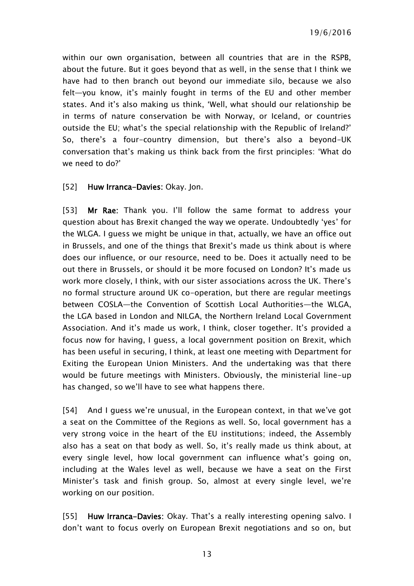within our own organisation, between all countries that are in the RSPB, about the future. But it goes beyond that as well, in the sense that I think we have had to then branch out beyond our immediate silo, because we also felt—you know, it's mainly fought in terms of the EU and other member states. And it's also making us think, 'Well, what should our relationship be in terms of nature conservation be with Norway, or Iceland, or countries outside the EU; what's the special relationship with the Republic of Ireland?' So, there's a four-country dimension, but there's also a beyond-UK conversation that's making us think back from the first principles: 'What do we need to do?'

#### [52] Huw Irranca-Davies: Okay. Jon.

[53] Mr Rae: Thank you. I'll follow the same format to address your question about has Brexit changed the way we operate. Undoubtedly 'yes' for the WLGA. I guess we might be unique in that, actually, we have an office out in Brussels, and one of the things that Brexit's made us think about is where does our influence, or our resource, need to be. Does it actually need to be out there in Brussels, or should it be more focused on London? It's made us work more closely, I think, with our sister associations across the UK. There's no formal structure around UK co-operation, but there are regular meetings between COSLA—the Convention of Scottish Local Authorities—the WLGA, the LGA based in London and NILGA, the Northern Ireland Local Government Association. And it's made us work, I think, closer together. It's provided a focus now for having, I guess, a local government position on Brexit, which has been useful in securing, I think, at least one meeting with Department for Exiting the European Union Ministers. And the undertaking was that there would be future meetings with Ministers. Obviously, the ministerial line-up has changed, so we'll have to see what happens there.

[54] And I guess we're unusual, in the European context, in that we've got a seat on the Committee of the Regions as well. So, local government has a very strong voice in the heart of the EU institutions; indeed, the Assembly also has a seat on that body as well. So, it's really made us think about, at every single level, how local government can influence what's going on, including at the Wales level as well, because we have a seat on the First Minister's task and finish group. So, almost at every single level, we're working on our position.

[55] Huw Irranca-Davies: Okay. That's a really interesting opening salvo. I don't want to focus overly on European Brexit negotiations and so on, but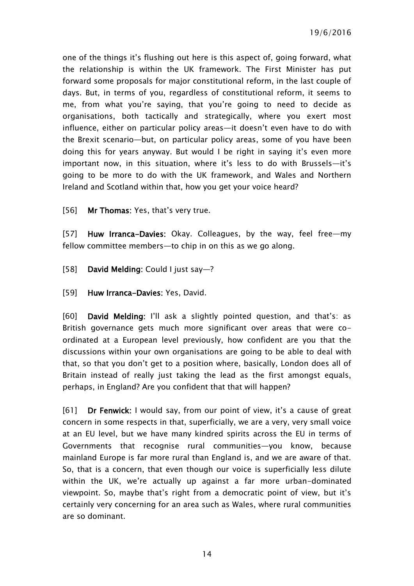one of the things it's flushing out here is this aspect of, going forward, what the relationship is within the UK framework. The First Minister has put forward some proposals for major constitutional reform, in the last couple of days. But, in terms of you, regardless of constitutional reform, it seems to me, from what you're saying, that you're going to need to decide as organisations, both tactically and strategically, where you exert most influence, either on particular policy areas—it doesn't even have to do with the Brexit scenario—but, on particular policy areas, some of you have been doing this for years anyway. But would I be right in saying it's even more important now, in this situation, where it's less to do with Brussels—it's going to be more to do with the UK framework, and Wales and Northern Ireland and Scotland within that, how you get your voice heard?

[56] Mr Thomas: Yes, that's very true.

[57] Huw Irranca-Davies: Okay. Colleagues, by the way, feel free—my fellow committee members—to chip in on this as we go along.

- [58] David Melding: Could I just say—?
- [59] Huw Irranca-Davies: Yes, David.

[60] David Melding: I'll ask a slightly pointed question, and that's: as British governance gets much more significant over areas that were coordinated at a European level previously, how confident are you that the discussions within your own organisations are going to be able to deal with that, so that you don't get to a position where, basically, London does all of Britain instead of really just taking the lead as the first amongst equals, perhaps, in England? Are you confident that that will happen?

[61] Dr Fenwick: I would say, from our point of view, it's a cause of great concern in some respects in that, superficially, we are a very, very small voice at an EU level, but we have many kindred spirits across the EU in terms of Governments that recognise rural communities—you know, because mainland Europe is far more rural than England is, and we are aware of that. So, that is a concern, that even though our voice is superficially less dilute within the UK, we're actually up against a far more urban-dominated viewpoint. So, maybe that's right from a democratic point of view, but it's certainly very concerning for an area such as Wales, where rural communities are so dominant.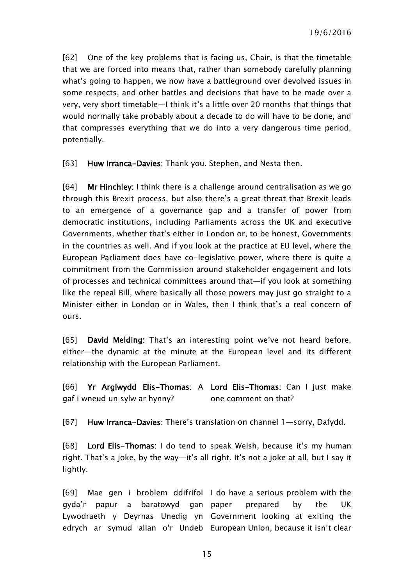[62] One of the key problems that is facing us, Chair, is that the timetable that we are forced into means that, rather than somebody carefully planning what's going to happen, we now have a battleground over devolved issues in some respects, and other battles and decisions that have to be made over a very, very short timetable—I think it's a little over 20 months that things that would normally take probably about a decade to do will have to be done, and that compresses everything that we do into a very dangerous time period, potentially.

[63] Huw Irranca-Davies: Thank you. Stephen, and Nesta then.

[64] Mr Hinchley: I think there is a challenge around centralisation as we go through this Brexit process, but also there's a great threat that Brexit leads to an emergence of a governance gap and a transfer of power from democratic institutions, including Parliaments across the UK and executive Governments, whether that's either in London or, to be honest, Governments in the countries as well. And if you look at the practice at EU level, where the European Parliament does have co-legislative power, where there is quite a commitment from the Commission around stakeholder engagement and lots of processes and technical committees around that—if you look at something like the repeal Bill, where basically all those powers may just go straight to a Minister either in London or in Wales, then I think that's a real concern of ours.

[65] David Melding: That's an interesting point we've not heard before, either—the dynamic at the minute at the European level and its different relationship with the European Parliament.

[66] Yr Arglwydd Elis-Thomas: A Lord Elis-Thomas: Can I just make gaf i wneud un sylw ar hynny? one comment on that?

[67] Huw Irranca-Davies: There's translation on channel 1—sorry, Dafydd.

[68] Lord Elis-Thomas: I do tend to speak Welsh, because it's my human right. That's a joke, by the way—it's all right. It's not a joke at all, but I say it lightly.

[69] Mae gen i broblem ddifrifol I do have a serious problem with the gyda'r papur a baratowyd gan Lywodraeth y Deyrnas Unedig yn Government looking at exiting the edrych ar symud allan o'r Undeb European Union, because it isn't clear prepared by the UK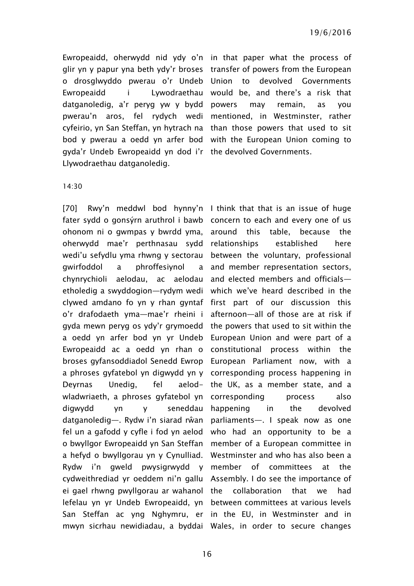o drosglwyddo pwerau o'r Undeb gyda'r Undeb Ewropeaidd yn dod i'r the devolved Governments. Llywodraethau datganoledig.

Ewropeaidd, oherwydd nid ydy o'n in that paper what the process of glir yn y papur yna beth ydy'r broses transfer of powers from the European Ewropeaidd i Lywodraethau would be, and there's a risk that datganoledig, a'r peryg yw y bydd powers may remain, as you pwerau'n aros, fel rydych wedi mentioned, in Westminster, rather cyfeirio, yn San Steffan, yn hytrach na than those powers that used to sit bod y pwerau a oedd yn arfer bod with the European Union coming to devolved Governments

#### 14:30

[70] Rwy'n meddwl bod hynny'n I think that that is an issue of huge fater sydd o gonsýrn aruthrol i bawb concern to each and every one of us ohonom ni o gwmpas y bwrdd yma, around this table, because the oherwydd mae'r perthnasau sydd relationships established here wedi'u sefydlu yma rhwng y sectorau between the voluntary, professional gwirfoddol a phroffesiynol chynrychioli aelodau, ac aelodau etholedig a swyddogion—rydym wedi which we've heard described in the clywed amdano fo yn y rhan gyntaf first part of our discussion this o'r drafodaeth yma—mae'r rheini i gyda mewn peryg os ydy'r grymoedd the powers that used to sit within the a oedd yn arfer bod yn yr Undeb Ewropeaidd ac a oedd yn rhan o broses gyfansoddiadol Senedd Ewrop European Parliament now, with a a phroses gyfatebol yn digwydd yn y corresponding process happening in Deyrnas Unedig, fel wladwriaeth, a phroses gyfatebol yn corresponding process also digwydd yn y seneddau datganoledig—. Rydw i'n siarad rŵan parliaments—. I speak now as one fel un a gafodd y cyfle i fod yn aelod who had an opportunity to be a o bwyllgor Ewropeaidd yn San Steffan member of a European committee in a hefyd o bwyllgorau yn y Cynulliad. Rydw i'n gweld pwysigrwydd y member of committees at the cydweithrediad yr oeddem ni'n gallu Assembly. I do see the importance of ei gael rhwng pwyllgorau ar wahanol the collaboration that we had lefelau yn yr Undeb Ewropeaidd, yn between committees at various levels San Steffan ac yng Nghymru, er in the EU, in Westminster and in mwyn sicrhau newidiadau, a byddai Wales, in order to secure changes

a and member representation sectors, and elected members and officials afternoon—all of those are at risk if European Union and were part of a constitutional process within the aelod- the UK, as a member state, and a happening in the devolved Westminster and who has also been a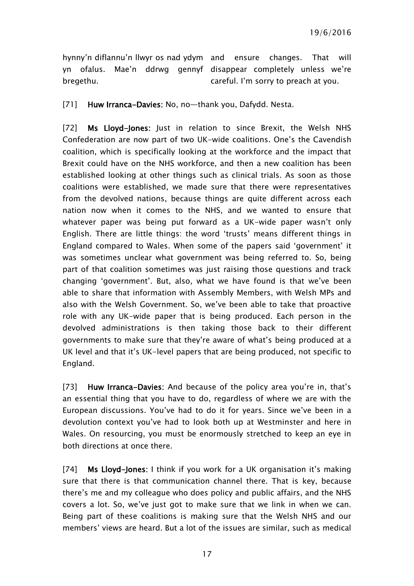hynny'n diflannu'n llwyr os nad ydym and ensure changes. That will yn ofalus. Mae'n ddrwg gennyf disappear completely unless we're bregethu. careful. I'm sorry to preach at you.

[71] Huw Irranca-Davies: No, no-thank you, Dafydd. Nesta.

[72] Ms Lloyd-Jones: Just in relation to since Brexit, the Welsh NHS Confederation are now part of two UK-wide coalitions. One's the Cavendish coalition, which is specifically looking at the workforce and the impact that Brexit could have on the NHS workforce, and then a new coalition has been established looking at other things such as clinical trials. As soon as those coalitions were established, we made sure that there were representatives from the devolved nations, because things are quite different across each nation now when it comes to the NHS, and we wanted to ensure that whatever paper was being put forward as a UK-wide paper wasn't only English. There are little things: the word 'trusts' means different things in England compared to Wales. When some of the papers said 'government' it was sometimes unclear what government was being referred to. So, being part of that coalition sometimes was just raising those questions and track changing 'government'. But, also, what we have found is that we've been able to share that information with Assembly Members, with Welsh MPs and also with the Welsh Government. So, we've been able to take that proactive role with any UK-wide paper that is being produced. Each person in the devolved administrations is then taking those back to their different governments to make sure that they're aware of what's being produced at a UK level and that it's UK-level papers that are being produced, not specific to England.

[73] Huw Irranca-Davies: And because of the policy area you're in, that's an essential thing that you have to do, regardless of where we are with the European discussions. You've had to do it for years. Since we've been in a devolution context you've had to look both up at Westminster and here in Wales. On resourcing, you must be enormously stretched to keep an eye in both directions at once there.

[74] Ms Lloyd-Jones: I think if you work for a UK organisation it's making sure that there is that communication channel there. That is key, because there's me and my colleague who does policy and public affairs, and the NHS covers a lot. So, we've just got to make sure that we link in when we can. Being part of these coalitions is making sure that the Welsh NHS and our members' views are heard. But a lot of the issues are similar, such as medical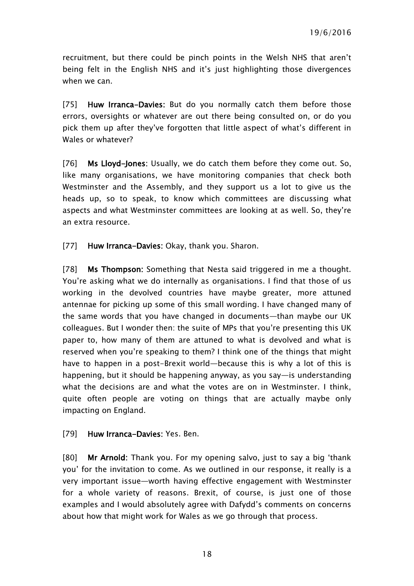recruitment, but there could be pinch points in the Welsh NHS that aren't being felt in the English NHS and it's just highlighting those divergences when we can.

[75] Huw Irranca-Davies: But do you normally catch them before those errors, oversights or whatever are out there being consulted on, or do you pick them up after they've forgotten that little aspect of what's different in Wales or whatever?

[76] Ms Lloyd-Jones: Usually, we do catch them before they come out. So, like many organisations, we have monitoring companies that check both Westminster and the Assembly, and they support us a lot to give us the heads up, so to speak, to know which committees are discussing what aspects and what Westminster committees are looking at as well. So, they're an extra resource.

[77] Huw Irranca-Davies: Okay, thank you. Sharon.

[78] Ms Thompson: Something that Nesta said triggered in me a thought. You're asking what we do internally as organisations. I find that those of us working in the devolved countries have maybe greater, more attuned antennae for picking up some of this small wording. I have changed many of the same words that you have changed in documents—than maybe our UK colleagues. But I wonder then: the suite of MPs that you're presenting this UK paper to, how many of them are attuned to what is devolved and what is reserved when you're speaking to them? I think one of the things that might have to happen in a post-Brexit world—because this is why a lot of this is happening, but it should be happening anyway, as you say—is understanding what the decisions are and what the votes are on in Westminster. I think, quite often people are voting on things that are actually maybe only impacting on England.

#### [79] Huw Irranca-Davies: Yes. Ben.

[80] Mr Arnold: Thank you. For my opening salvo, just to say a big 'thank you' for the invitation to come. As we outlined in our response, it really is a very important issue—worth having effective engagement with Westminster for a whole variety of reasons. Brexit, of course, is just one of those examples and I would absolutely agree with Dafydd's comments on concerns about how that might work for Wales as we go through that process.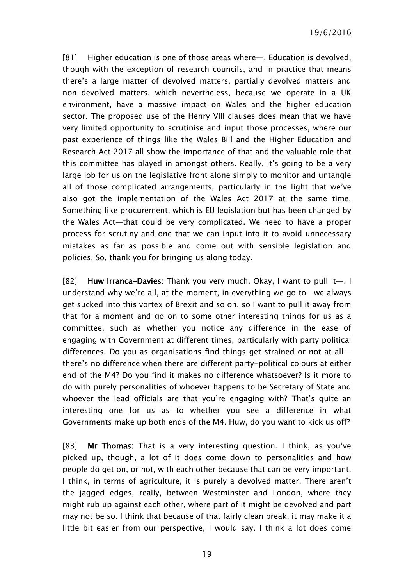[81] Higher education is one of those areas where—. Education is devolved. though with the exception of research councils, and in practice that means there's a large matter of devolved matters, partially devolved matters and non-devolved matters, which nevertheless, because we operate in a UK environment, have a massive impact on Wales and the higher education sector. The proposed use of the Henry VIII clauses does mean that we have very limited opportunity to scrutinise and input those processes, where our past experience of things like the Wales Bill and the Higher Education and Research Act 2017 all show the importance of that and the valuable role that this committee has played in amongst others. Really, it's going to be a very large job for us on the legislative front alone simply to monitor and untangle all of those complicated arrangements, particularly in the light that we've also got the implementation of the Wales Act 2017 at the same time. Something like procurement, which is EU legislation but has been changed by the Wales Act—that could be very complicated. We need to have a proper process for scrutiny and one that we can input into it to avoid unnecessary mistakes as far as possible and come out with sensible legislation and policies. So, thank you for bringing us along today.

[82] Huw Irranca-Davies: Thank you very much. Okay, I want to pull it-. I understand why we're all, at the moment, in everything we go to—we always get sucked into this vortex of Brexit and so on, so I want to pull it away from that for a moment and go on to some other interesting things for us as a committee, such as whether you notice any difference in the ease of engaging with Government at different times, particularly with party political differences. Do you as organisations find things get strained or not at all there's no difference when there are different party-political colours at either end of the M4? Do you find it makes no difference whatsoever? Is it more to do with purely personalities of whoever happens to be Secretary of State and whoever the lead officials are that you're engaging with? That's quite an interesting one for us as to whether you see a difference in what Governments make up both ends of the M4. Huw, do you want to kick us off?

[83] Mr Thomas: That is a very interesting question. I think, as you've picked up, though, a lot of it does come down to personalities and how people do get on, or not, with each other because that can be very important. I think, in terms of agriculture, it is purely a devolved matter. There aren't the jagged edges, really, between Westminster and London, where they might rub up against each other, where part of it might be devolved and part may not be so. I think that because of that fairly clean break, it may make it a little bit easier from our perspective, I would say. I think a lot does come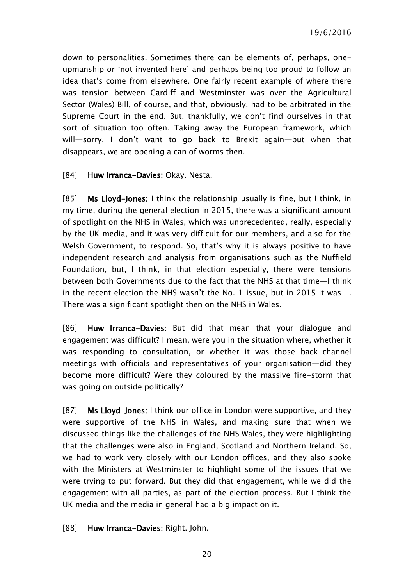down to personalities. Sometimes there can be elements of, perhaps, oneupmanship or 'not invented here' and perhaps being too proud to follow an idea that's come from elsewhere. One fairly recent example of where there was tension between Cardiff and Westminster was over the Agricultural Sector (Wales) Bill, of course, and that, obviously, had to be arbitrated in the Supreme Court in the end. But, thankfully, we don't find ourselves in that sort of situation too often. Taking away the European framework, which will—sorry, I don't want to go back to Brexit again—but when that disappears, we are opening a can of worms then.

[84] Huw Irranca-Davies: Okay. Nesta.

[85] Ms Lloyd-Jones: I think the relationship usually is fine, but I think, in my time, during the general election in 2015, there was a significant amount of spotlight on the NHS in Wales, which was unprecedented, really, especially by the UK media, and it was very difficult for our members, and also for the Welsh Government, to respond. So, that's why it is always positive to have independent research and analysis from organisations such as the Nuffield Foundation, but, I think, in that election especially, there were tensions between both Governments due to the fact that the NHS at that time—I think in the recent election the NHS wasn't the No. 1 issue, but in 2015 it was—. There was a significant spotlight then on the NHS in Wales.

[86] Huw Irranca-Davies: But did that mean that your dialogue and engagement was difficult? I mean, were you in the situation where, whether it was responding to consultation, or whether it was those back-channel meetings with officials and representatives of your organisation—did they become more difficult? Were they coloured by the massive fire-storm that was going on outside politically?

[87] Ms Lloyd-Jones: I think our office in London were supportive, and they were supportive of the NHS in Wales, and making sure that when we discussed things like the challenges of the NHS Wales, they were highlighting that the challenges were also in England, Scotland and Northern Ireland. So, we had to work very closely with our London offices, and they also spoke with the Ministers at Westminster to highlight some of the issues that we were trying to put forward. But they did that engagement, while we did the engagement with all parties, as part of the election process. But I think the UK media and the media in general had a big impact on it.

[88] Huw Irranca-Davies: Right. John.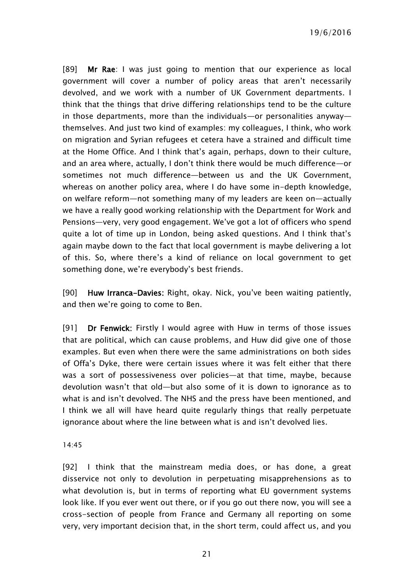19/6/2016

[89] Mr Rae: I was just going to mention that our experience as local government will cover a number of policy areas that aren't necessarily devolved, and we work with a number of UK Government departments. I think that the things that drive differing relationships tend to be the culture in those departments, more than the individuals—or personalities anyway themselves. And just two kind of examples: my colleagues, I think, who work on migration and Syrian refugees et cetera have a strained and difficult time at the Home Office. And I think that's again, perhaps, down to their culture, and an area where, actually, I don't think there would be much difference—or sometimes not much difference—between us and the UK Government, whereas on another policy area, where I do have some in-depth knowledge, on welfare reform—not something many of my leaders are keen on—actually we have a really good working relationship with the Department for Work and Pensions—very, very good engagement. We've got a lot of officers who spend quite a lot of time up in London, being asked questions. And I think that's again maybe down to the fact that local government is maybe delivering a lot of this. So, where there's a kind of reliance on local government to get something done, we're everybody's best friends.

[90] Huw Irranca-Davies: Right, okay. Nick, you've been waiting patiently, and then we're going to come to Ben.

[91] Dr Fenwick: Firstly I would agree with Huw in terms of those issues that are political, which can cause problems, and Huw did give one of those examples. But even when there were the same administrations on both sides of Offa's Dyke, there were certain issues where it was felt either that there was a sort of possessiveness over policies—at that time, maybe, because devolution wasn't that old—but also some of it is down to ignorance as to what is and isn't devolved. The NHS and the press have been mentioned, and I think we all will have heard quite regularly things that really perpetuate ignorance about where the line between what is and isn't devolved lies.

14:45

[92] I think that the mainstream media does, or has done, a great disservice not only to devolution in perpetuating misapprehensions as to what devolution is, but in terms of reporting what EU government systems look like. If you ever went out there, or if you go out there now, you will see a cross-section of people from France and Germany all reporting on some very, very important decision that, in the short term, could affect us, and you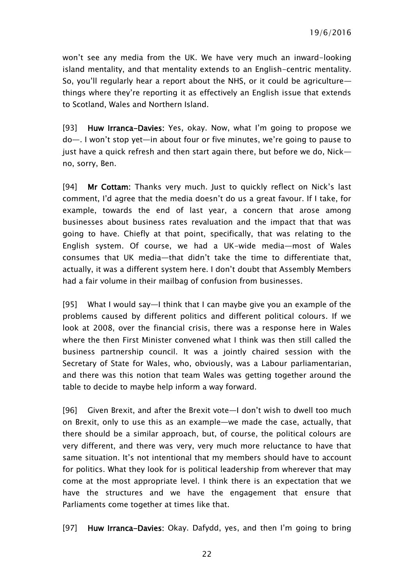won't see any media from the UK. We have very much an inward-looking island mentality, and that mentality extends to an English-centric mentality. So, you'll regularly hear a report about the NHS, or it could be agriculture things where they're reporting it as effectively an English issue that extends to Scotland, Wales and Northern Island.

[93] Huw Irranca-Davies: Yes, okay. Now, what I'm going to propose we do—. I won't stop yet—in about four or five minutes, we're going to pause to just have a quick refresh and then start again there, but before we do, Nick no, sorry, Ben.

[94] Mr Cottam: Thanks very much. Just to quickly reflect on Nick's last comment, I'd agree that the media doesn't do us a great favour. If I take, for example, towards the end of last year, a concern that arose among businesses about business rates revaluation and the impact that that was going to have. Chiefly at that point, specifically, that was relating to the English system. Of course, we had a UK-wide media—most of Wales consumes that UK media—that didn't take the time to differentiate that, actually, it was a different system here. I don't doubt that Assembly Members had a fair volume in their mailbag of confusion from businesses.

[95] What I would say—I think that I can maybe give you an example of the problems caused by different politics and different political colours. If we look at 2008, over the financial crisis, there was a response here in Wales where the then First Minister convened what I think was then still called the business partnership council. It was a jointly chaired session with the Secretary of State for Wales, who, obviously, was a Labour parliamentarian, and there was this notion that team Wales was getting together around the table to decide to maybe help inform a way forward.

[96] Given Brexit, and after the Brexit vote—I don't wish to dwell too much on Brexit, only to use this as an example—we made the case, actually, that there should be a similar approach, but, of course, the political colours are very different, and there was very, very much more reluctance to have that same situation. It's not intentional that my members should have to account for politics. What they look for is political leadership from wherever that may come at the most appropriate level. I think there is an expectation that we have the structures and we have the engagement that ensure that Parliaments come together at times like that.

[97] Huw Irranca-Davies: Okay. Dafydd, yes, and then I'm going to bring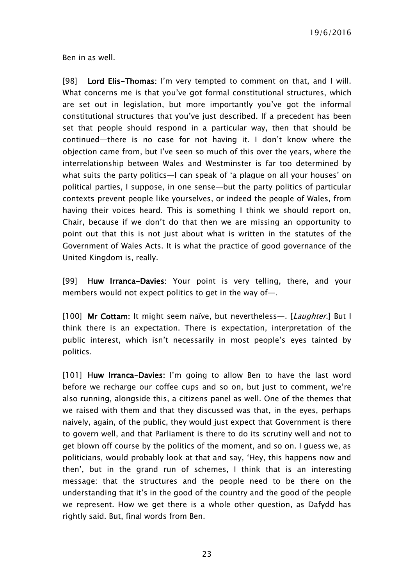Ben in as well.

[98] Lord Elis-Thomas: I'm very tempted to comment on that, and I will. What concerns me is that you've got formal constitutional structures, which are set out in legislation, but more importantly you've got the informal constitutional structures that you've just described. If a precedent has been set that people should respond in a particular way, then that should be continued—there is no case for not having it. I don't know where the objection came from, but I've seen so much of this over the years, where the interrelationship between Wales and Westminster is far too determined by what suits the party politics—I can speak of 'a plague on all your houses' on political parties, I suppose, in one sense—but the party politics of particular contexts prevent people like yourselves, or indeed the people of Wales, from having their voices heard. This is something I think we should report on, Chair, because if we don't do that then we are missing an opportunity to point out that this is not just about what is written in the statutes of the Government of Wales Acts. It is what the practice of good governance of the United Kingdom is, really.

[99] Huw Irranca-Davies: Your point is very telling, there, and your members would not expect politics to get in the way of—.

[100] Mr Cottam: It might seem naïve, but nevertheless—. [Laughter.] But I think there is an expectation. There is expectation, interpretation of the public interest, which isn't necessarily in most people's eyes tainted by politics.

[101] Huw Irranca-Davies: I'm going to allow Ben to have the last word before we recharge our coffee cups and so on, but just to comment, we're also running, alongside this, a citizens panel as well. One of the themes that we raised with them and that they discussed was that, in the eyes, perhaps naively, again, of the public, they would just expect that Government is there to govern well, and that Parliament is there to do its scrutiny well and not to get blown off course by the politics of the moment, and so on. I guess we, as politicians, would probably look at that and say, 'Hey, this happens now and then', but in the grand run of schemes, I think that is an interesting message: that the structures and the people need to be there on the understanding that it's in the good of the country and the good of the people we represent. How we get there is a whole other question, as Dafydd has rightly said. But, final words from Ben.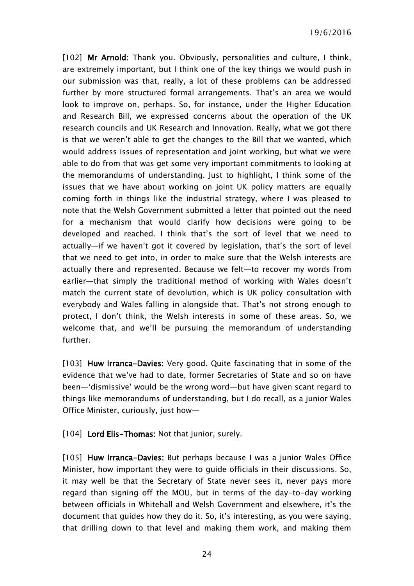[102] Mr Arnold: Thank you. Obviously, personalities and culture, I think, are extremely important, but I think one of the key things we would push in our submission was that, really, a lot of these problems can be addressed further by more structured formal arrangements. That's an area we would look to improve on, perhaps. So, for instance, under the Higher Education and Research Bill, we expressed concerns about the operation of the UK research councils and UK Research and Innovation. Really, what we got there is that we weren't able to get the changes to the Bill that we wanted, which would address issues of representation and joint working, but what we were able to do from that was get some very important commitments to looking at the memorandums of understanding. Just to highlight, I think some of the issues that we have about working on joint UK policy matters are equally coming forth in things like the industrial strategy, where I was pleased to note that the Welsh Government submitted a letter that pointed out the need for a mechanism that would clarify how decisions were going to be developed and reached. I think that's the sort of level that we need to actually—if we haven't got it covered by legislation, that's the sort of level that we need to get into, in order to make sure that the Welsh interests are actually there and represented. Because we felt—to recover my words from earlier—that simply the traditional method of working with Wales doesn't match the current state of devolution, which is UK policy consultation with everybody and Wales falling in alongside that. That's not strong enough to protect, I don't think, the Welsh interests in some of these areas. So, we welcome that, and we'll be pursuing the memorandum of understanding further.

[103] Huw Irranca-Davies: Very good. Quite fascinating that in some of the evidence that we've had to date, former Secretaries of State and so on have been—'dismissive' would be the wrong word—but have given scant regard to things like memorandums of understanding, but I do recall, as a junior Wales Office Minister, curiously, just how—

[104] Lord Elis-Thomas: Not that junior, surely.

[105] Huw Irranca-Davies: But perhaps because I was a junior Wales Office Minister, how important they were to guide officials in their discussions. So, it may well be that the Secretary of State never sees it, never pays more regard than signing off the MOU, but in terms of the day-to-day working between officials in Whitehall and Welsh Government and elsewhere, it's the document that guides how they do it. So, it's interesting, as you were saying, that drilling down to that level and making them work, and making them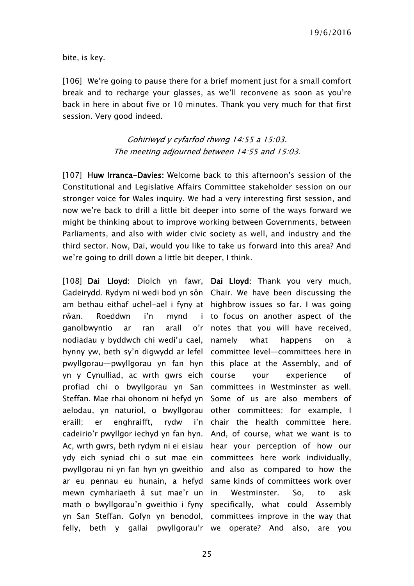bite, is key.

[106] We're going to pause there for a brief moment just for a small comfort break and to recharge your glasses, as we'll reconvene as soon as you're back in here in about five or 10 minutes. Thank you very much for that first session. Very good indeed.

> Gohiriwyd y cyfarfod rhwng 14:55 a 15:03. The meeting adjourned between 14:55 and 15:03.

[107] Huw Irranca-Davies: Welcome back to this afternoon's session of the Constitutional and Legislative Affairs Committee stakeholder session on our stronger voice for Wales inquiry. We had a very interesting first session, and now we're back to drill a little bit deeper into some of the ways forward we might be thinking about to improve working between Governments, between Parliaments, and also with wider civic society as well, and industry and the third sector. Now, Dai, would you like to take us forward into this area? And we're going to drill down a little bit deeper, I think.

[108] Dai Lloyd: Diolch yn fawr, Dai Lloyd: Thank you very much, Gadeirydd. Rydym ni wedi bod yn sôn Chair. We have been discussing the am bethau eithaf uchel-ael i fyny at highbrow issues so far. I was going rŵan. Roeddwn i'n mynd i ganolbwyntio ar ran arall nodiadau y byddwch chi wedi'u cael, hynny yw, beth sy'n digwydd ar lefel committee level—committees here in pwyllgorau—pwyllgorau yn fan hyn this place at the Assembly, and of yn y Cynulliad, ac wrth gwrs eich profiad chi o bwyllgorau yn San committees in Westminster as well. Steffan. Mae rhai ohonom ni hefyd yn Some of us are also members of aelodau, yn naturiol, o bwyllgorau other committees; for example, I eraill; er enghraifft, rydw cadeirio'r pwyllgor iechyd yn fan hyn. And, of course, what we want is to Ac, wrth gwrs, beth rydym ni ei eisiau hear your perception of how our ydy eich syniad chi o sut mae ein committees here work individually, pwyllgorau ni yn fan hyn yn gweithio and also as compared to how the ar eu pennau eu hunain, a hefyd same kinds of committees work over mewn cymhariaeth â sut mae'r un math o bwyllgorau'n gweithio i fyny specifically, what could Assembly yn San Steffan. Gofyn yn benodol, committees improve in the way that felly, beth y gallai pwyllgorau'r we operate? And also, are you

i to focus on another aspect of the o'r notes that you will have received, what happens on a your experience of i'n chair the health committee here. Westminster. So, to ask

25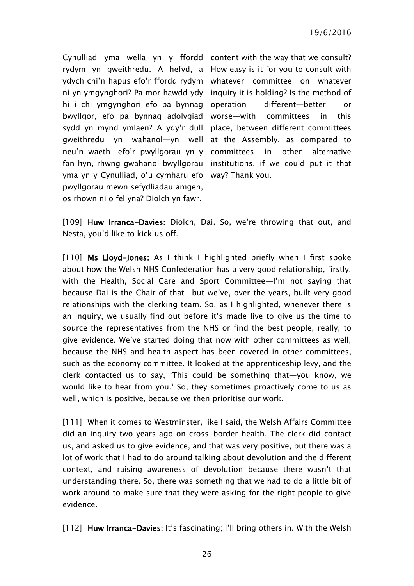Cynulliad yma wella yn y ffordd content with the way that we consult? rydym yn gweithredu. A hefyd, a How easy is it for you to consult with ydych chi'n hapus efo'r ffordd rydym whatever committee on whatever ni yn ymgynghori? Pa mor hawdd ydy inquiry it is holding? Is the method of hi i chi ymgynghori efo pa bynnag bwyllgor, efo pa bynnag adolygiad worse—with committees in this sydd yn mynd ymlaen? A ydy'r dull place, between different committees gweithredu yn wahanol—yn well at the Assembly, as compared to neu'n waeth—efo'r pwyllgorau yn y committees in other alternative fan hyn, rhwng gwahanol bwyllgorau institutions, if we could put it that yma yn y Cynulliad, o'u cymharu efo way? Thank you. pwyllgorau mewn sefydliadau amgen, os rhown ni o fel yna? Diolch yn fawr.

different—better or

[109] Huw Irranca-Davies: Diolch, Dai. So, we're throwing that out, and Nesta, you'd like to kick us off.

[110] Ms Lloyd-Jones: As I think I highlighted briefly when I first spoke about how the Welsh NHS Confederation has a very good relationship, firstly, with the Health, Social Care and Sport Committee—I'm not saying that because Dai is the Chair of that—but we've, over the years, built very good relationships with the clerking team. So, as I highlighted, whenever there is an inquiry, we usually find out before it's made live to give us the time to source the representatives from the NHS or find the best people, really, to give evidence. We've started doing that now with other committees as well, because the NHS and health aspect has been covered in other committees, such as the economy committee. It looked at the apprenticeship levy, and the clerk contacted us to say, 'This could be something that—you know, we would like to hear from you.' So, they sometimes proactively come to us as well, which is positive, because we then prioritise our work.

[111] When it comes to Westminster, like I said, the Welsh Affairs Committee did an inquiry two years ago on cross-border health. The clerk did contact us, and asked us to give evidence, and that was very positive, but there was a lot of work that I had to do around talking about devolution and the different context, and raising awareness of devolution because there wasn't that understanding there. So, there was something that we had to do a little bit of work around to make sure that they were asking for the right people to give evidence.

[112] Huw Irranca-Davies: It's fascinating; I'll bring others in. With the Welsh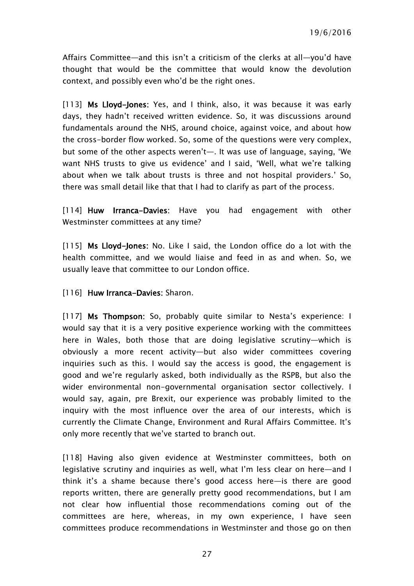Affairs Committee—and this isn't a criticism of the clerks at all—you'd have thought that would be the committee that would know the devolution context, and possibly even who'd be the right ones.

[113] Ms Lloyd-Jones: Yes, and I think, also, it was because it was early days, they hadn't received written evidence. So, it was discussions around fundamentals around the NHS, around choice, against voice, and about how the cross-border flow worked. So, some of the questions were very complex, but some of the other aspects weren't—. It was use of language, saying, 'We want NHS trusts to give us evidence' and I said, 'Well, what we're talking about when we talk about trusts is three and not hospital providers.' So, there was small detail like that that I had to clarify as part of the process.

[114] Huw Irranca-Davies: Have you had engagement with other Westminster committees at any time?

[115] Ms Lloyd-Jones: No. Like I said, the London office do a lot with the health committee, and we would liaise and feed in as and when. So, we usually leave that committee to our London office.

[116] Huw Irranca-Davies: Sharon.

[117] Ms Thompson: So, probably quite similar to Nesta's experience: I would say that it is a very positive experience working with the committees here in Wales, both those that are doing legislative scrutiny—which is obviously a more recent activity—but also wider committees covering inquiries such as this. I would say the access is good, the engagement is good and we're regularly asked, both individually as the RSPB, but also the wider environmental non-governmental organisation sector collectively. I would say, again, pre Brexit, our experience was probably limited to the inquiry with the most influence over the area of our interests, which is currently the Climate Change, Environment and Rural Affairs Committee. It's only more recently that we've started to branch out.

[118] Having also given evidence at Westminster committees, both on legislative scrutiny and inquiries as well, what I'm less clear on here—and I think it's a shame because there's good access here—is there are good reports written, there are generally pretty good recommendations, but I am not clear how influential those recommendations coming out of the committees are here, whereas, in my own experience, I have seen committees produce recommendations in Westminster and those go on then

27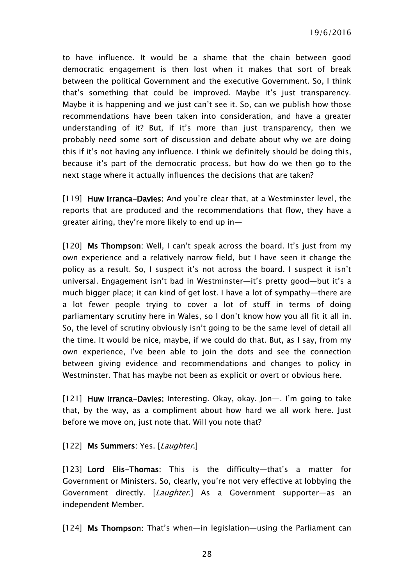19/6/2016

to have influence. It would be a shame that the chain between good democratic engagement is then lost when it makes that sort of break between the political Government and the executive Government. So, I think that's something that could be improved. Maybe it's just transparency. Maybe it is happening and we just can't see it. So, can we publish how those recommendations have been taken into consideration, and have a greater understanding of it? But, if it's more than just transparency, then we probably need some sort of discussion and debate about why we are doing this if it's not having any influence. I think we definitely should be doing this, because it's part of the democratic process, but how do we then go to the next stage where it actually influences the decisions that are taken?

[119] Huw Irranca-Davies: And you're clear that, at a Westminster level, the reports that are produced and the recommendations that flow, they have a greater airing, they're more likely to end up in—

[120] Ms Thompson: Well, I can't speak across the board. It's just from my own experience and a relatively narrow field, but I have seen it change the policy as a result. So, I suspect it's not across the board. I suspect it isn't universal. Engagement isn't bad in Westminster—it's pretty good—but it's a much bigger place; it can kind of get lost. I have a lot of sympathy—there are a lot fewer people trying to cover a lot of stuff in terms of doing parliamentary scrutiny here in Wales, so I don't know how you all fit it all in. So, the level of scrutiny obviously isn't going to be the same level of detail all the time. It would be nice, maybe, if we could do that. But, as I say, from my own experience, I've been able to join the dots and see the connection between giving evidence and recommendations and changes to policy in Westminster. That has maybe not been as explicit or overt or obvious here.

[121] Huw Irranca-Davies: Interesting. Okay, okay. Jon—. I'm going to take that, by the way, as a compliment about how hard we all work here. Just before we move on, just note that. Will you note that?

[122] Ms Summers: Yes. [Laughter.]

[123] Lord Elis-Thomas: This is the difficulty-that's a matter for Government or Ministers. So, clearly, you're not very effective at lobbying the Government directly. [Laughter.] As a Government supporter-as an independent Member.

[124] Ms Thompson: That's when—in legislation—using the Parliament can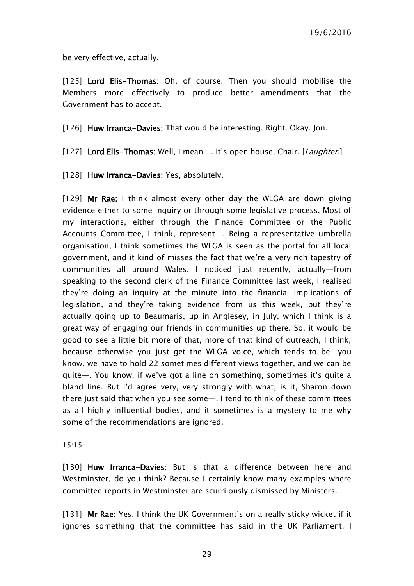be very effective, actually.

[125] Lord Elis-Thomas: Oh, of course. Then you should mobilise the Members more effectively to produce better amendments that the Government has to accept.

[126] Huw Irranca-Davies: That would be interesting. Right. Okay. Jon.

[127] Lord Elis-Thomas: Well, I mean-. It's open house, Chair. [Laughter.]

[128] Huw Irranca-Davies: Yes, absolutely.

[129] Mr Rae: I think almost every other day the WLGA are down giving evidence either to some inquiry or through some legislative process. Most of my interactions, either through the Finance Committee or the Public Accounts Committee, I think, represent—. Being a representative umbrella organisation, I think sometimes the WLGA is seen as the portal for all local government, and it kind of misses the fact that we're a very rich tapestry of communities all around Wales. I noticed just recently, actually—from speaking to the second clerk of the Finance Committee last week, I realised they're doing an inquiry at the minute into the financial implications of legislation, and they're taking evidence from us this week, but they're actually going up to Beaumaris, up in Anglesey, in July, which I think is a great way of engaging our friends in communities up there. So, it would be good to see a little bit more of that, more of that kind of outreach, I think, because otherwise you just get the WLGA voice, which tends to be—you know, we have to hold 22 sometimes different views together, and we can be quite—. You know, if we've got a line on something, sometimes it's quite a bland line. But I'd agree very, very strongly with what, is it, Sharon down there just said that when you see some—. I tend to think of these committees as all highly influential bodies, and it sometimes is a mystery to me why some of the recommendations are ignored.

#### 15:15

[130] Huw Irranca-Davies: But is that a difference between here and Westminster, do you think? Because I certainly know many examples where committee reports in Westminster are scurrilously dismissed by Ministers.

[131] Mr Rae: Yes. I think the UK Government's on a really sticky wicket if it ignores something that the committee has said in the UK Parliament. I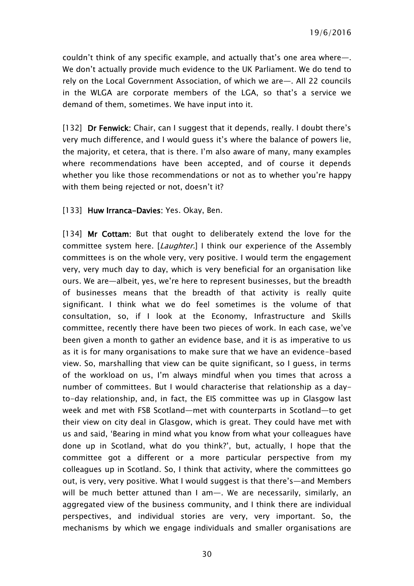couldn't think of any specific example, and actually that's one area where—. We don't actually provide much evidence to the UK Parliament. We do tend to rely on the Local Government Association, of which we are—. All 22 councils in the WLGA are corporate members of the LGA, so that's a service we demand of them, sometimes. We have input into it.

[132] Dr Fenwick: Chair, can I suggest that it depends, really. I doubt there's very much difference, and I would guess it's where the balance of powers lie, the majority, et cetera, that is there. I'm also aware of many, many examples where recommendations have been accepted, and of course it depends whether you like those recommendations or not as to whether you're happy with them being rejected or not, doesn't it?

#### [133] Huw Irranca-Davies: Yes. Okay, Ben.

[134] Mr Cottam: But that ought to deliberately extend the love for the committee system here. [Laughter.] I think our experience of the Assembly committees is on the whole very, very positive. I would term the engagement very, very much day to day, which is very beneficial for an organisation like ours. We are—albeit, yes, we're here to represent businesses, but the breadth of businesses means that the breadth of that activity is really quite significant. I think what we do feel sometimes is the volume of that consultation, so, if I look at the Economy, Infrastructure and Skills committee, recently there have been two pieces of work. In each case, we've been given a month to gather an evidence base, and it is as imperative to us as it is for many organisations to make sure that we have an evidence-based view. So, marshalling that view can be quite significant, so I guess, in terms of the workload on us, I'm always mindful when you times that across a number of committees. But I would characterise that relationship as a dayto-day relationship, and, in fact, the EIS committee was up in Glasgow last week and met with FSB Scotland—met with counterparts in Scotland—to get their view on city deal in Glasgow, which is great. They could have met with us and said, 'Bearing in mind what you know from what your colleagues have done up in Scotland, what do you think?', but, actually, I hope that the committee got a different or a more particular perspective from my colleagues up in Scotland. So, I think that activity, where the committees go out, is very, very positive. What I would suggest is that there's—and Members will be much better attuned than I am—. We are necessarily, similarly, an aggregated view of the business community, and I think there are individual perspectives, and individual stories are very, very important. So, the mechanisms by which we engage individuals and smaller organisations are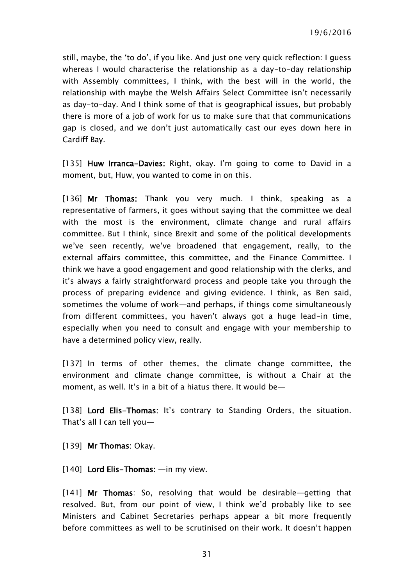still, maybe, the 'to do', if you like. And just one very quick reflection: I guess whereas I would characterise the relationship as a day-to-day relationship with Assembly committees, I think, with the best will in the world, the relationship with maybe the Welsh Affairs Select Committee isn't necessarily as day-to-day. And I think some of that is geographical issues, but probably there is more of a job of work for us to make sure that that communications gap is closed, and we don't just automatically cast our eyes down here in Cardiff Bay.

[135] Huw Irranca-Davies: Right, okay. I'm going to come to David in a moment, but, Huw, you wanted to come in on this.

[136] Mr Thomas: Thank you very much. I think, speaking as a representative of farmers, it goes without saying that the committee we deal with the most is the environment, climate change and rural affairs committee. But I think, since Brexit and some of the political developments we've seen recently, we've broadened that engagement, really, to the external affairs committee, this committee, and the Finance Committee. I think we have a good engagement and good relationship with the clerks, and it's always a fairly straightforward process and people take you through the process of preparing evidence and giving evidence. I think, as Ben said, sometimes the volume of work—and perhaps, if things come simultaneously from different committees, you haven't always got a huge lead-in time, especially when you need to consult and engage with your membership to have a determined policy view, really.

[137] In terms of other themes, the climate change committee, the environment and climate change committee, is without a Chair at the moment, as well. It's in a bit of a hiatus there. It would be—

[138] Lord Elis-Thomas: It's contrary to Standing Orders, the situation. That's all I can tell you—

[139] Mr Thomas: Okay.

[140] Lord Elis-Thomas: —in my view.

[141] Mr Thomas: So, resolving that would be desirable—getting that resolved. But, from our point of view, I think we'd probably like to see Ministers and Cabinet Secretaries perhaps appear a bit more frequently before committees as well to be scrutinised on their work. It doesn't happen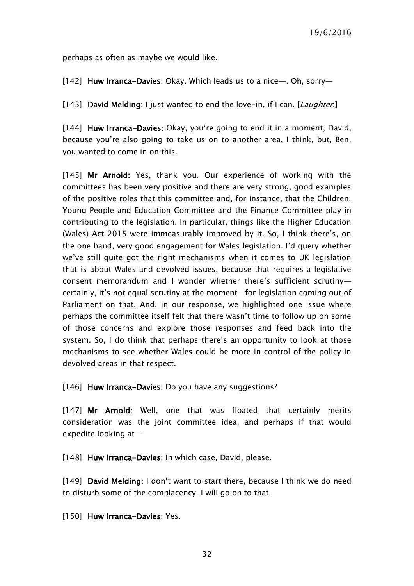perhaps as often as maybe we would like.

[142] Huw Irranca-Davies: Okay. Which leads us to a nice—. Oh, sorry—

[143] David Melding: I just wanted to end the love-in, if I can. [Laughter.]

[144] Huw Irranca-Davies: Okay, you're going to end it in a moment, David, because you're also going to take us on to another area, I think, but, Ben, you wanted to come in on this.

[145] Mr Arnold: Yes, thank you. Our experience of working with the committees has been very positive and there are very strong, good examples of the positive roles that this committee and, for instance, that the Children, Young People and Education Committee and the Finance Committee play in contributing to the legislation. In particular, things like the Higher Education (Wales) Act 2015 were immeasurably improved by it. So, I think there's, on the one hand, very good engagement for Wales legislation. I'd query whether we've still quite got the right mechanisms when it comes to UK legislation that is about Wales and devolved issues, because that requires a legislative consent memorandum and I wonder whether there's sufficient scrutiny certainly, it's not equal scrutiny at the moment—for legislation coming out of Parliament on that. And, in our response, we highlighted one issue where perhaps the committee itself felt that there wasn't time to follow up on some of those concerns and explore those responses and feed back into the system. So, I do think that perhaps there's an opportunity to look at those mechanisms to see whether Wales could be more in control of the policy in devolved areas in that respect.

[146] Huw Irranca-Davies: Do you have any suggestions?

[147] Mr Arnold: Well, one that was floated that certainly merits consideration was the joint committee idea, and perhaps if that would expedite looking at—

[148] Huw Irranca-Davies: In which case, David, please.

[149] David Melding: I don't want to start there, because I think we do need to disturb some of the complacency. I will go on to that.

[150] Huw Irranca-Davies: Yes.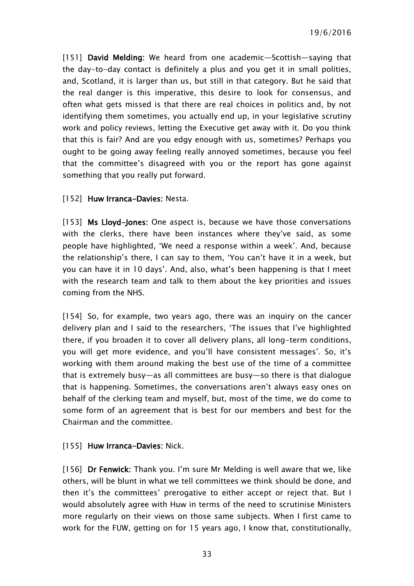19/6/2016

[151] David Melding: We heard from one academic—Scottish—saying that the day-to-day contact is definitely a plus and you get it in small polities, and, Scotland, it is larger than us, but still in that category. But he said that the real danger is this imperative, this desire to look for consensus, and often what gets missed is that there are real choices in politics and, by not identifying them sometimes, you actually end up, in your legislative scrutiny work and policy reviews, letting the Executive get away with it. Do you think that this is fair? And are you edgy enough with us, sometimes? Perhaps you ought to be going away feeling really annoyed sometimes, because you feel that the committee's disagreed with you or the report has gone against something that you really put forward.

#### [152] Huw Irranca-Davies: Nesta.

[153] Ms Lloyd-Jones: One aspect is, because we have those conversations with the clerks, there have been instances where they've said, as some people have highlighted, 'We need a response within a week'. And, because the relationship's there, I can say to them, 'You can't have it in a week, but you can have it in 10 days'. And, also, what's been happening is that I meet with the research team and talk to them about the key priorities and issues coming from the NHS.

[154] So, for example, two years ago, there was an inquiry on the cancer delivery plan and I said to the researchers, 'The issues that I've highlighted there, if you broaden it to cover all delivery plans, all long-term conditions, you will get more evidence, and you'll have consistent messages'. So, it's working with them around making the best use of the time of a committee that is extremely busy—as all committees are busy—so there is that dialogue that is happening. Sometimes, the conversations aren't always easy ones on behalf of the clerking team and myself, but, most of the time, we do come to some form of an agreement that is best for our members and best for the Chairman and the committee.

#### [155] Huw Irranca-Davies: Nick.

[156] Dr Fenwick: Thank you. I'm sure Mr Melding is well aware that we, like others, will be blunt in what we tell committees we think should be done, and then it's the committees' prerogative to either accept or reject that. But I would absolutely agree with Huw in terms of the need to scrutinise Ministers more regularly on their views on those same subjects. When I first came to work for the FUW, getting on for 15 years ago, I know that, constitutionally,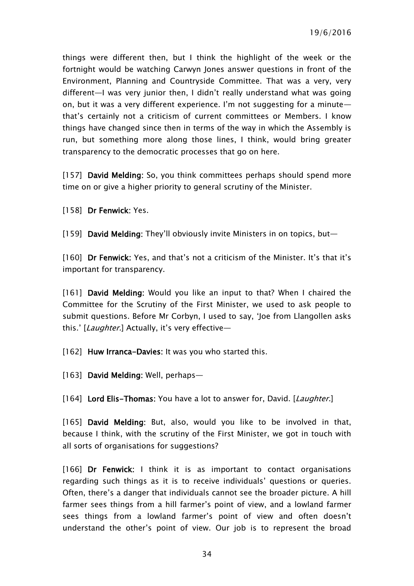things were different then, but I think the highlight of the week or the fortnight would be watching Carwyn Jones answer questions in front of the Environment, Planning and Countryside Committee. That was a very, very different—I was very junior then, I didn't really understand what was going on, but it was a very different experience. I'm not suggesting for a minute that's certainly not a criticism of current committees or Members. I know things have changed since then in terms of the way in which the Assembly is run, but something more along those lines, I think, would bring greater transparency to the democratic processes that go on here.

[157] David Melding: So, you think committees perhaps should spend more time on or give a higher priority to general scrutiny of the Minister.

[158] Dr Fenwick: Yes.

[159] David Melding: They'll obviously invite Ministers in on topics, but—

[160] Dr Fenwick: Yes, and that's not a criticism of the Minister. It's that it's important for transparency.

[161] David Melding: Would you like an input to that? When I chaired the Committee for the Scrutiny of the First Minister, we used to ask people to submit questions. Before Mr Corbyn, I used to say, 'Joe from Llangollen asks this.' [Laughter.] Actually, it's very effective—

[162] Huw Irranca-Davies: It was you who started this.

[163] David Melding: Well, perhaps—

[164] Lord Elis-Thomas: You have a lot to answer for, David. [Laughter.]

[165] David Melding: But, also, would you like to be involved in that, because I think, with the scrutiny of the First Minister, we got in touch with all sorts of organisations for suggestions?

[166] Dr Fenwick: I think it is as important to contact organisations regarding such things as it is to receive individuals' questions or queries. Often, there's a danger that individuals cannot see the broader picture. A hill farmer sees things from a hill farmer's point of view, and a lowland farmer sees things from a lowland farmer's point of view and often doesn't understand the other's point of view. Our job is to represent the broad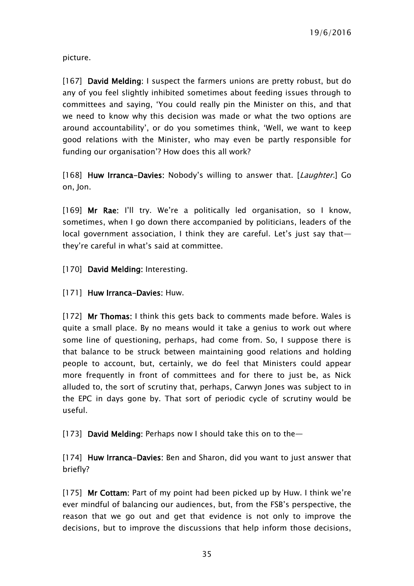picture.

[167] David Melding: I suspect the farmers unions are pretty robust, but do any of you feel slightly inhibited sometimes about feeding issues through to committees and saying, 'You could really pin the Minister on this, and that we need to know why this decision was made or what the two options are around accountability', or do you sometimes think, 'Well, we want to keep good relations with the Minister, who may even be partly responsible for funding our organisation'? How does this all work?

[168] Huw Irranca-Davies: Nobody's willing to answer that. [Laughter.] Go on, Jon.

[169] Mr Rae: I'll try. We're a politically led organisation, so I know, sometimes, when I go down there accompanied by politicians, leaders of the local government association, I think they are careful. Let's just say that they're careful in what's said at committee.

- [170] David Melding: Interesting.
- [171] Huw Irranca-Davies: Huw.

[172] Mr Thomas: I think this gets back to comments made before. Wales is quite a small place. By no means would it take a genius to work out where some line of questioning, perhaps, had come from. So, I suppose there is that balance to be struck between maintaining good relations and holding people to account, but, certainly, we do feel that Ministers could appear more frequently in front of committees and for there to just be, as Nick alluded to, the sort of scrutiny that, perhaps, Carwyn Jones was subject to in the EPC in days gone by. That sort of periodic cycle of scrutiny would be useful.

[173] David Melding: Perhaps now I should take this on to the-

[174] Huw Irranca-Davies: Ben and Sharon, did you want to just answer that briefly?

[175] Mr Cottam: Part of my point had been picked up by Huw. I think we're ever mindful of balancing our audiences, but, from the FSB's perspective, the reason that we go out and get that evidence is not only to improve the decisions, but to improve the discussions that help inform those decisions,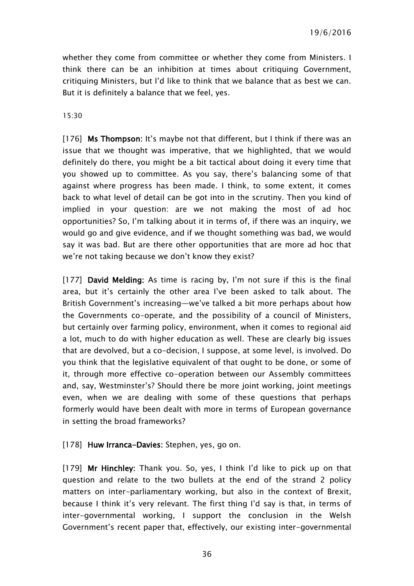whether they come from committee or whether they come from Ministers. I think there can be an inhibition at times about critiquing Government, critiquing Ministers, but I'd like to think that we balance that as best we can. But it is definitely a balance that we feel, yes.

#### 15:30

[176] Ms Thompson: It's maybe not that different, but I think if there was an issue that we thought was imperative, that we highlighted, that we would definitely do there, you might be a bit tactical about doing it every time that you showed up to committee. As you say, there's balancing some of that against where progress has been made. I think, to some extent, it comes back to what level of detail can be got into in the scrutiny. Then you kind of implied in your question: are we not making the most of ad hoc opportunities? So, I'm talking about it in terms of, if there was an inquiry, we would go and give evidence, and if we thought something was bad, we would say it was bad. But are there other opportunities that are more ad hoc that we're not taking because we don't know they exist?

[177] David Melding: As time is racing by, I'm not sure if this is the final area, but it's certainly the other area I've been asked to talk about. The British Government's increasing—we've talked a bit more perhaps about how the Governments co-operate, and the possibility of a council of Ministers, but certainly over farming policy, environment, when it comes to regional aid a lot, much to do with higher education as well. These are clearly big issues that are devolved, but a co-decision, I suppose, at some level, is involved. Do you think that the legislative equivalent of that ought to be done, or some of it, through more effective co-operation between our Assembly committees and, say, Westminster's? Should there be more joint working, joint meetings even, when we are dealing with some of these questions that perhaps formerly would have been dealt with more in terms of European governance in setting the broad frameworks?

#### [178] Huw Irranca-Davies: Stephen, yes, go on.

[179] Mr Hinchley: Thank you. So, yes, I think I'd like to pick up on that question and relate to the two bullets at the end of the strand 2 policy matters on inter-parliamentary working, but also in the context of Brexit, because I think it's very relevant. The first thing I'd say is that, in terms of inter-governmental working, I support the conclusion in the Welsh Government's recent paper that, effectively, our existing inter-governmental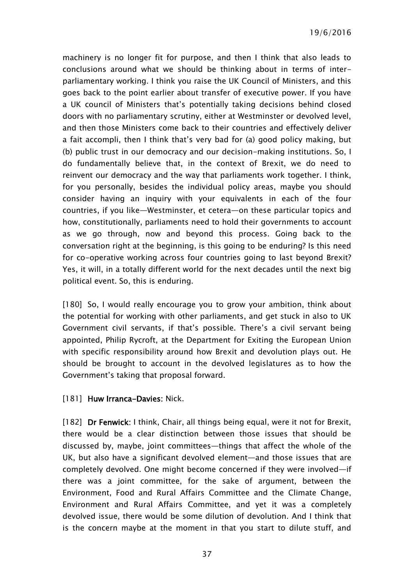machinery is no longer fit for purpose, and then I think that also leads to conclusions around what we should be thinking about in terms of interparliamentary working. I think you raise the UK Council of Ministers, and this goes back to the point earlier about transfer of executive power. If you have a UK council of Ministers that's potentially taking decisions behind closed doors with no parliamentary scrutiny, either at Westminster or devolved level, and then those Ministers come back to their countries and effectively deliver a fait accompli, then I think that's very bad for (a) good policy making, but (b) public trust in our democracy and our decision-making institutions. So, I do fundamentally believe that, in the context of Brexit, we do need to reinvent our democracy and the way that parliaments work together. I think, for you personally, besides the individual policy areas, maybe you should consider having an inquiry with your equivalents in each of the four countries, if you like—Westminster, et cetera—on these particular topics and how, constitutionally, parliaments need to hold their governments to account as we go through, now and beyond this process. Going back to the conversation right at the beginning, is this going to be enduring? Is this need for co-operative working across four countries going to last beyond Brexit? Yes, it will, in a totally different world for the next decades until the next big political event. So, this is enduring.

[180] So, I would really encourage you to grow your ambition, think about the potential for working with other parliaments, and get stuck in also to UK Government civil servants, if that's possible. There's a civil servant being appointed, Philip Rycroft, at the Department for Exiting the European Union with specific responsibility around how Brexit and devolution plays out. He should be brought to account in the devolved legislatures as to how the Government's taking that proposal forward.

#### [181] Huw Irranca-Davies: Nick.

[182] Dr Fenwick: I think, Chair, all things being equal, were it not for Brexit, there would be a clear distinction between those issues that should be discussed by, maybe, joint committees—things that affect the whole of the UK, but also have a significant devolved element—and those issues that are completely devolved. One might become concerned if they were involved—if there was a joint committee, for the sake of argument, between the Environment, Food and Rural Affairs Committee and the Climate Change, Environment and Rural Affairs Committee, and yet it was a completely devolved issue, there would be some dilution of devolution. And I think that is the concern maybe at the moment in that you start to dilute stuff, and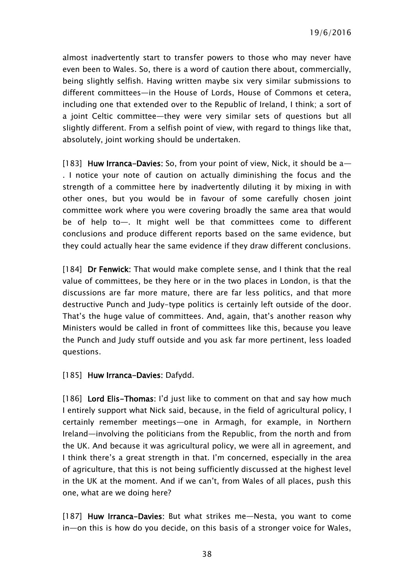almost inadvertently start to transfer powers to those who may never have even been to Wales. So, there is a word of caution there about, commercially, being slightly selfish. Having written maybe six very similar submissions to different committees—in the House of Lords, House of Commons et cetera, including one that extended over to the Republic of Ireland, I think; a sort of a joint Celtic committee—they were very similar sets of questions but all slightly different. From a selfish point of view, with regard to things like that, absolutely, joint working should be undertaken.

[183] Huw Irranca-Davies: So, from your point of view, Nick, it should be a-. I notice your note of caution on actually diminishing the focus and the strength of a committee here by inadvertently diluting it by mixing in with other ones, but you would be in favour of some carefully chosen joint committee work where you were covering broadly the same area that would be of help to—. It might well be that committees come to different conclusions and produce different reports based on the same evidence, but they could actually hear the same evidence if they draw different conclusions.

[184] Dr Fenwick: That would make complete sense, and I think that the real value of committees, be they here or in the two places in London, is that the discussions are far more mature, there are far less politics, and that more destructive Punch and Judy-type politics is certainly left outside of the door. That's the huge value of committees. And, again, that's another reason why Ministers would be called in front of committees like this, because you leave the Punch and Judy stuff outside and you ask far more pertinent, less loaded questions.

[185] Huw Irranca-Davies: Dafydd.

[186] Lord Elis-Thomas: I'd just like to comment on that and say how much I entirely support what Nick said, because, in the field of agricultural policy, I certainly remember meetings—one in Armagh, for example, in Northern Ireland—involving the politicians from the Republic, from the north and from the UK. And because it was agricultural policy, we were all in agreement, and I think there's a great strength in that. I'm concerned, especially in the area of agriculture, that this is not being sufficiently discussed at the highest level in the UK at the moment. And if we can't, from Wales of all places, push this one, what are we doing here?

[187] Huw Irranca-Davies: But what strikes me-Nesta, you want to come in—on this is how do you decide, on this basis of a stronger voice for Wales,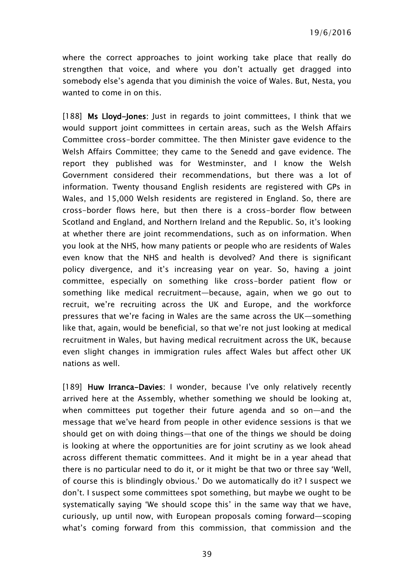where the correct approaches to joint working take place that really do strengthen that voice, and where you don't actually get dragged into somebody else's agenda that you diminish the voice of Wales. But, Nesta, you wanted to come in on this.

[188] Ms Lloyd-Jones: Just in regards to joint committees, I think that we would support joint committees in certain areas, such as the Welsh Affairs Committee cross-border committee. The then Minister gave evidence to the Welsh Affairs Committee; they came to the Senedd and gave evidence. The report they published was for Westminster, and I know the Welsh Government considered their recommendations, but there was a lot of information. Twenty thousand English residents are registered with GPs in Wales, and 15,000 Welsh residents are registered in England. So, there are cross-border flows here, but then there is a cross-border flow between Scotland and England, and Northern Ireland and the Republic. So, it's looking at whether there are joint recommendations, such as on information. When you look at the NHS, how many patients or people who are residents of Wales even know that the NHS and health is devolved? And there is significant policy divergence, and it's increasing year on year. So, having a joint committee, especially on something like cross-border patient flow or something like medical recruitment—because, again, when we go out to recruit, we're recruiting across the UK and Europe, and the workforce pressures that we're facing in Wales are the same across the UK—something like that, again, would be beneficial, so that we're not just looking at medical recruitment in Wales, but having medical recruitment across the UK, because even slight changes in immigration rules affect Wales but affect other UK nations as well.

[189] Huw Irranca-Davies: I wonder, because I've only relatively recently arrived here at the Assembly, whether something we should be looking at, when committees put together their future agenda and so on—and the message that we've heard from people in other evidence sessions is that we should get on with doing things—that one of the things we should be doing is looking at where the opportunities are for joint scrutiny as we look ahead across different thematic committees. And it might be in a year ahead that there is no particular need to do it, or it might be that two or three say 'Well, of course this is blindingly obvious.' Do we automatically do it? I suspect we don't. I suspect some committees spot something, but maybe we ought to be systematically saying 'We should scope this' in the same way that we have, curiously, up until now, with European proposals coming forward—scoping what's coming forward from this commission, that commission and the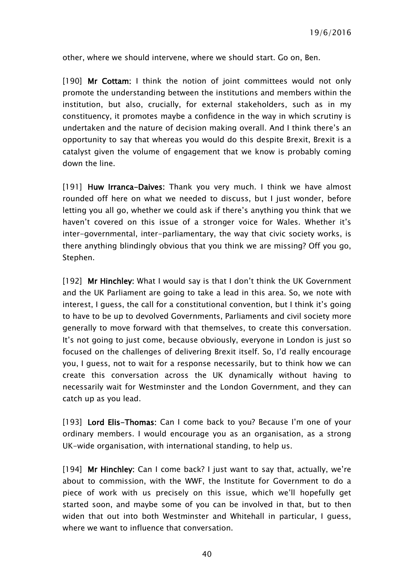other, where we should intervene, where we should start. Go on, Ben.

[190] Mr Cottam: I think the notion of joint committees would not only promote the understanding between the institutions and members within the institution, but also, crucially, for external stakeholders, such as in my constituency, it promotes maybe a confidence in the way in which scrutiny is undertaken and the nature of decision making overall. And I think there's an opportunity to say that whereas you would do this despite Brexit, Brexit is a catalyst given the volume of engagement that we know is probably coming down the line.

[191] Huw Irranca-Daives: Thank you very much. I think we have almost rounded off here on what we needed to discuss, but I just wonder, before letting you all go, whether we could ask if there's anything you think that we haven't covered on this issue of a stronger voice for Wales. Whether it's inter-governmental, inter-parliamentary, the way that civic society works, is there anything blindingly obvious that you think we are missing? Off you go, Stephen.

[192] Mr Hinchley: What I would say is that I don't think the UK Government and the UK Parliament are going to take a lead in this area. So, we note with interest, I guess, the call for a constitutional convention, but I think it's going to have to be up to devolved Governments, Parliaments and civil society more generally to move forward with that themselves, to create this conversation. It's not going to just come, because obviously, everyone in London is just so focused on the challenges of delivering Brexit itself. So, I'd really encourage you, I guess, not to wait for a response necessarily, but to think how we can create this conversation across the UK dynamically without having to necessarily wait for Westminster and the London Government, and they can catch up as you lead.

[193] Lord Elis-Thomas: Can I come back to you? Because I'm one of your ordinary members. I would encourage you as an organisation, as a strong UK-wide organisation, with international standing, to help us.

[194] Mr Hinchley: Can I come back? I just want to say that, actually, we're about to commission, with the WWF, the Institute for Government to do a piece of work with us precisely on this issue, which we'll hopefully get started soon, and maybe some of you can be involved in that, but to then widen that out into both Westminster and Whitehall in particular, I guess, where we want to influence that conversation.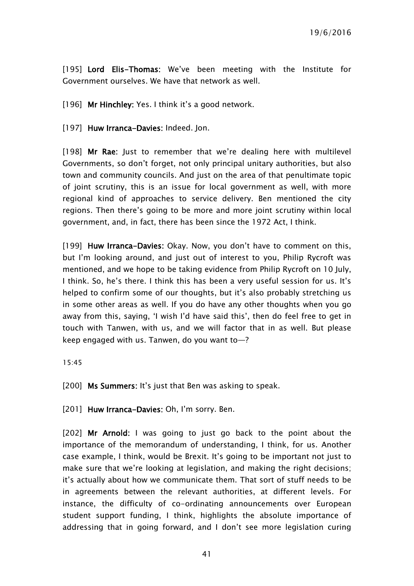[195] Lord Elis-Thomas: We've been meeting with the Institute for Government ourselves. We have that network as well.

[196] Mr Hinchley: Yes. I think it's a good network.

[197] Huw Irranca-Davies: Indeed. Jon.

[198] Mr Rae: Just to remember that we're dealing here with multilevel Governments, so don't forget, not only principal unitary authorities, but also town and community councils. And just on the area of that penultimate topic of joint scrutiny, this is an issue for local government as well, with more regional kind of approaches to service delivery. Ben mentioned the city regions. Then there's going to be more and more joint scrutiny within local government, and, in fact, there has been since the 1972 Act, I think.

[199] Huw Irranca-Davies: Okay. Now, you don't have to comment on this, but I'm looking around, and just out of interest to you, Philip Rycroft was mentioned, and we hope to be taking evidence from Philip Rycroft on 10 July, I think. So, he's there. I think this has been a very useful session for us. It's helped to confirm some of our thoughts, but it's also probably stretching us in some other areas as well. If you do have any other thoughts when you go away from this, saying, 'I wish I'd have said this', then do feel free to get in touch with Tanwen, with us, and we will factor that in as well. But please keep engaged with us. Tanwen, do you want to—?

15:45

[200] Ms Summers: It's just that Ben was asking to speak.

[201] Huw Irranca-Davies: Oh, I'm sorry. Ben.

[202] Mr Arnold: I was going to just go back to the point about the importance of the memorandum of understanding, I think, for us. Another case example, I think, would be Brexit. It's going to be important not just to make sure that we're looking at legislation, and making the right decisions; it's actually about how we communicate them. That sort of stuff needs to be in agreements between the relevant authorities, at different levels. For instance, the difficulty of co-ordinating announcements over European student support funding, I think, highlights the absolute importance of addressing that in going forward, and I don't see more legislation curing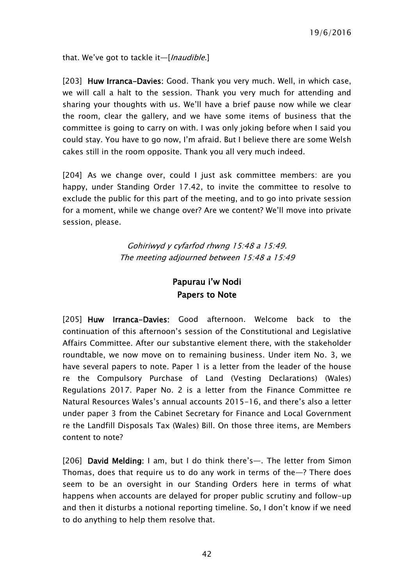that. We've got to tackle it-[Inaudible.]

[203] Huw Irranca-Davies: Good. Thank you very much. Well, in which case, we will call a halt to the session. Thank you very much for attending and sharing your thoughts with us. We'll have a brief pause now while we clear the room, clear the gallery, and we have some items of business that the committee is going to carry on with. I was only joking before when I said you could stay. You have to go now, I'm afraid. But I believe there are some Welsh cakes still in the room opposite. Thank you all very much indeed.

[204] As we change over, could I just ask committee members: are you happy, under Standing Order 17.42, to invite the committee to resolve to exclude the public for this part of the meeting, and to go into private session for a moment, while we change over? Are we content? We'll move into private session, please.

> Gohiriwyd y cyfarfod rhwng 15:48 a 15:49. The meeting adjourned between 15:48 a 15:49

## Papurau i'w Nodi Papers to Note

<span id="page-41-0"></span>[205] Huw Irranca-Davies: Good afternoon. Welcome back to the continuation of this afternoon's session of the Constitutional and Legislative Affairs Committee. After our substantive element there, with the stakeholder roundtable, we now move on to remaining business. Under item No. 3, we have several papers to note. Paper 1 is a letter from the leader of the house re the Compulsory Purchase of Land (Vesting Declarations) (Wales) Regulations 2017. Paper No. 2 is a letter from the Finance Committee re Natural Resources Wales's annual accounts 2015-16, and there's also a letter under paper 3 from the Cabinet Secretary for Finance and Local Government re the Landfill Disposals Tax (Wales) Bill. On those three items, are Members content to note?

[206] David Melding: I am, but I do think there's—. The letter from Simon Thomas, does that require us to do any work in terms of the—? There does seem to be an oversight in our Standing Orders here in terms of what happens when accounts are delayed for proper public scrutiny and follow-up and then it disturbs a notional reporting timeline. So, I don't know if we need to do anything to help them resolve that.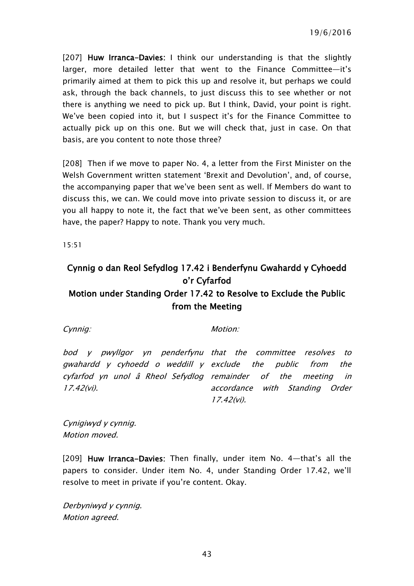19/6/2016

[207] Huw Irranca-Davies: I think our understanding is that the slightly larger, more detailed letter that went to the Finance Committee—it's primarily aimed at them to pick this up and resolve it, but perhaps we could ask, through the back channels, to just discuss this to see whether or not there is anything we need to pick up. But I think, David, your point is right. We've been copied into it, but I suspect it's for the Finance Committee to actually pick up on this one. But we will check that, just in case. On that basis, are you content to note those three?

[208] Then if we move to paper No. 4, a letter from the First Minister on the Welsh Government written statement 'Brexit and Devolution', and, of course, the accompanying paper that we've been sent as well. If Members do want to discuss this, we can. We could move into private session to discuss it, or are you all happy to note it, the fact that we've been sent, as other committees have, the paper? Happy to note. Thank you very much.

15:51

# <span id="page-42-0"></span>Cynnig o dan Reol Sefydlog 17.42 i Benderfynu Gwahardd y Cyhoedd o'r Cyfarfod Motion under Standing Order 17.42 to Resolve to Exclude the Public from the Meeting

Cynnig: Motion:

bod y pwyllgor yn penderfynu that the committee resolves to gwahardd y cyhoedd o weddill y exclude the public from the cyfarfod yn unol â Rheol Sefydlog remainder of the meeting in 17.42(vi). accordance with Standing Order 17.42(vi).

Cynigiwyd y cynnig. Motion moved.

[209] Huw Irranca-Davies: Then finally, under item No. 4—that's all the papers to consider. Under item No. 4, under Standing Order 17.42, we'll resolve to meet in private if you're content. Okay.

Derbyniwyd y cynnig. Motion agreed.